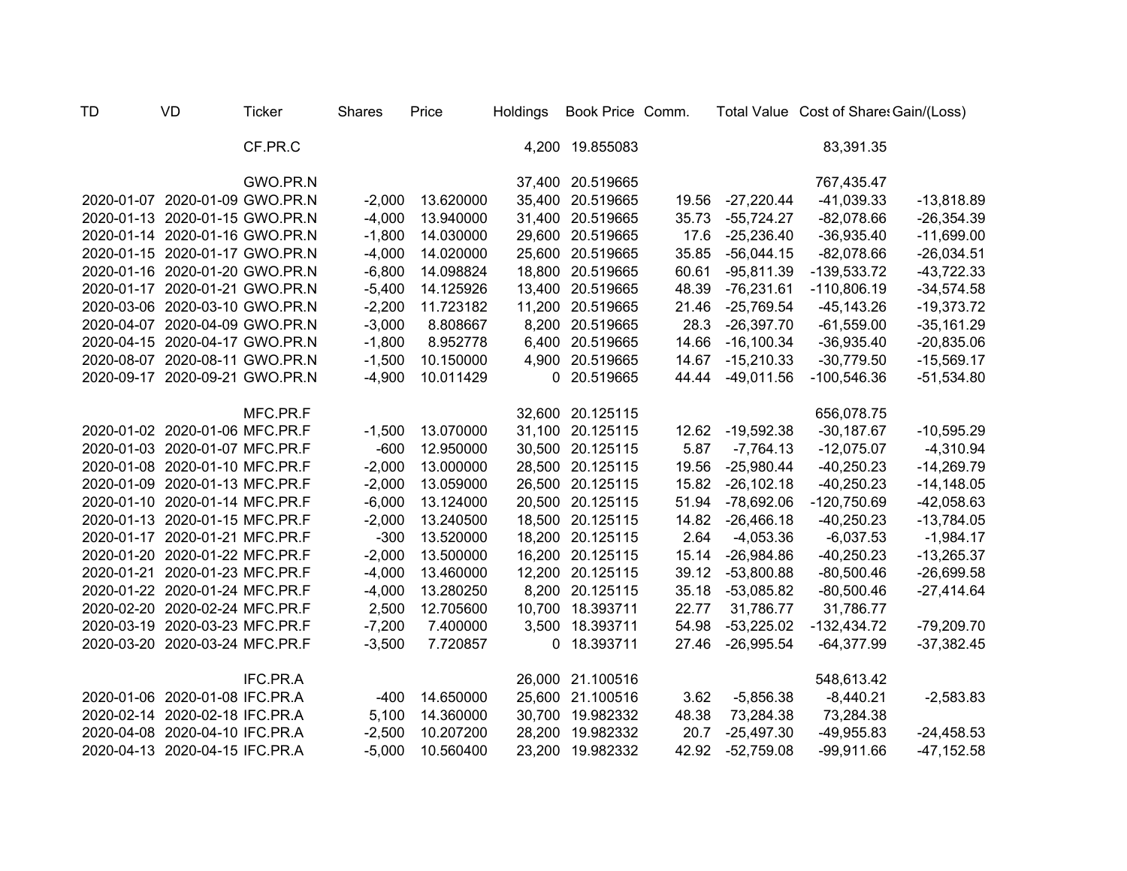| <b>TD</b> | <b>VD</b>                      | <b>Ticker</b> | <b>Shares</b> | Price     | Holdings | Book Price Comm. |       |              | Total Value Cost of Share: Gain/(Loss) |               |
|-----------|--------------------------------|---------------|---------------|-----------|----------|------------------|-------|--------------|----------------------------------------|---------------|
|           |                                | CF.PR.C       |               |           |          | 4,200 19.855083  |       |              | 83,391.35                              |               |
|           |                                | GWO.PR.N      |               |           |          | 37,400 20.519665 |       |              | 767,435.47                             |               |
|           | 2020-01-07 2020-01-09 GWO.PR.N |               | $-2,000$      | 13.620000 |          | 35,400 20.519665 | 19.56 | $-27,220.44$ | $-41,039.33$                           | $-13,818.89$  |
|           | 2020-01-13 2020-01-15 GWO.PR.N |               | $-4,000$      | 13.940000 |          | 31,400 20.519665 | 35.73 | $-55,724.27$ | $-82,078.66$                           | $-26,354.39$  |
|           | 2020-01-14 2020-01-16 GWO.PR.N |               | $-1,800$      | 14.030000 |          | 29,600 20.519665 | 17.6  | $-25,236.40$ | $-36,935.40$                           | $-11,699.00$  |
|           | 2020-01-15 2020-01-17 GWO.PR.N |               | $-4,000$      | 14.020000 |          | 25,600 20.519665 | 35.85 | $-56,044.15$ | $-82,078.66$                           | $-26,034.51$  |
|           | 2020-01-16 2020-01-20 GWO.PR.N |               | $-6,800$      | 14.098824 |          | 18,800 20.519665 | 60.61 | $-95,811.39$ | $-139,533.72$                          | $-43,722.33$  |
|           | 2020-01-17 2020-01-21 GWO.PR.N |               | $-5,400$      | 14.125926 |          | 13,400 20.519665 | 48.39 | $-76,231.61$ | $-110,806.19$                          | $-34,574.58$  |
|           | 2020-03-06 2020-03-10 GWO.PR.N |               | $-2,200$      | 11.723182 |          | 11,200 20.519665 | 21.46 | $-25,769.54$ | $-45, 143.26$                          | $-19,373.72$  |
|           | 2020-04-07 2020-04-09 GWO.PR.N |               | $-3,000$      | 8.808667  |          | 8,200 20.519665  | 28.3  | $-26,397.70$ | $-61,559.00$                           | $-35,161.29$  |
|           | 2020-04-15 2020-04-17 GWO.PR.N |               | $-1,800$      | 8.952778  |          | 6,400 20.519665  | 14.66 | $-16,100.34$ | $-36,935.40$                           | $-20,835.06$  |
|           | 2020-08-07 2020-08-11 GWO.PR.N |               | $-1,500$      | 10.150000 |          | 4,900 20.519665  | 14.67 | $-15,210.33$ | $-30,779.50$                           | $-15,569.17$  |
|           | 2020-09-17 2020-09-21 GWO.PR.N |               | $-4,900$      | 10.011429 |          | 0 20.519665      | 44.44 | $-49,011.56$ | $-100,546.36$                          | $-51,534.80$  |
|           |                                | MFC.PR.F      |               |           |          | 32,600 20.125115 |       |              | 656,078.75                             |               |
|           | 2020-01-02 2020-01-06 MFC.PR.F |               | $-1,500$      | 13.070000 |          | 31,100 20.125115 | 12.62 | $-19,592.38$ | $-30,187.67$                           | $-10,595.29$  |
|           | 2020-01-03 2020-01-07 MFC.PR.F |               | $-600$        | 12.950000 |          | 30,500 20.125115 | 5.87  | $-7,764.13$  | $-12,075.07$                           | $-4,310.94$   |
|           | 2020-01-08 2020-01-10 MFC.PR.F |               | $-2,000$      | 13.000000 |          | 28,500 20.125115 | 19.56 | $-25,980.44$ | $-40,250.23$                           | $-14,269.79$  |
|           | 2020-01-09 2020-01-13 MFC.PR.F |               | $-2,000$      | 13.059000 | 26,500   | 20.125115        | 15.82 | $-26,102.18$ | $-40,250.23$                           | $-14,148.05$  |
|           | 2020-01-10 2020-01-14 MFC.PR.F |               | $-6,000$      | 13.124000 | 20,500   | 20.125115        | 51.94 | $-78,692.06$ | $-120,750.69$                          | -42,058.63    |
|           | 2020-01-13 2020-01-15 MFC.PR.F |               | $-2,000$      | 13.240500 | 18,500   | 20.125115        | 14.82 | $-26,466.18$ | $-40,250.23$                           | $-13,784.05$  |
|           | 2020-01-17 2020-01-21 MFC.PR.F |               | $-300$        | 13.520000 | 18,200   | 20.125115        | 2.64  | $-4,053.36$  | $-6,037.53$                            | $-1,984.17$   |
|           | 2020-01-20 2020-01-22 MFC.PR.F |               | $-2,000$      | 13.500000 | 16,200   | 20.125115        | 15.14 | $-26,984.86$ | $-40,250.23$                           | $-13,265.37$  |
|           | 2020-01-21 2020-01-23 MFC.PR.F |               | $-4,000$      | 13.460000 | 12,200   | 20.125115        | 39.12 | $-53,800.88$ | $-80,500.46$                           | $-26,699.58$  |
|           | 2020-01-22 2020-01-24 MFC.PR.F |               | $-4,000$      | 13.280250 | 8,200    | 20.125115        | 35.18 | $-53,085.82$ | $-80,500.46$                           | $-27,414.64$  |
|           | 2020-02-20 2020-02-24 MFC.PR.F |               | 2,500         | 12.705600 | 10,700   | 18.393711        | 22.77 | 31,786.77    | 31,786.77                              |               |
|           | 2020-03-19 2020-03-23 MFC.PR.F |               | $-7,200$      | 7.400000  | 3,500    | 18.393711        | 54.98 | $-53,225.02$ | $-132,434.72$                          | $-79,209.70$  |
|           | 2020-03-20 2020-03-24 MFC.PR.F |               | $-3,500$      | 7.720857  | 0        | 18.393711        | 27.46 | $-26,995.54$ | $-64,377.99$                           | $-37,382.45$  |
|           |                                | IFC.PR.A      |               |           |          | 26,000 21.100516 |       |              | 548,613.42                             |               |
|           | 2020-01-06 2020-01-08 IFC.PR.A |               | $-400$        | 14.650000 |          | 25,600 21.100516 | 3.62  | $-5,856.38$  | $-8,440.21$                            | $-2,583.83$   |
|           | 2020-02-14 2020-02-18 IFC.PR.A |               | 5,100         | 14.360000 | 30,700   | 19.982332        | 48.38 | 73,284.38    | 73,284.38                              |               |
|           | 2020-04-08 2020-04-10 IFC.PR.A |               | $-2,500$      | 10.207200 | 28,200   | 19.982332        | 20.7  | $-25,497.30$ | $-49,955.83$                           | $-24,458.53$  |
|           | 2020-04-13 2020-04-15 IFC.PR.A |               | $-5,000$      | 10.560400 | 23,200   | 19.982332        | 42.92 | $-52,759.08$ | $-99,911.66$                           | $-47, 152.58$ |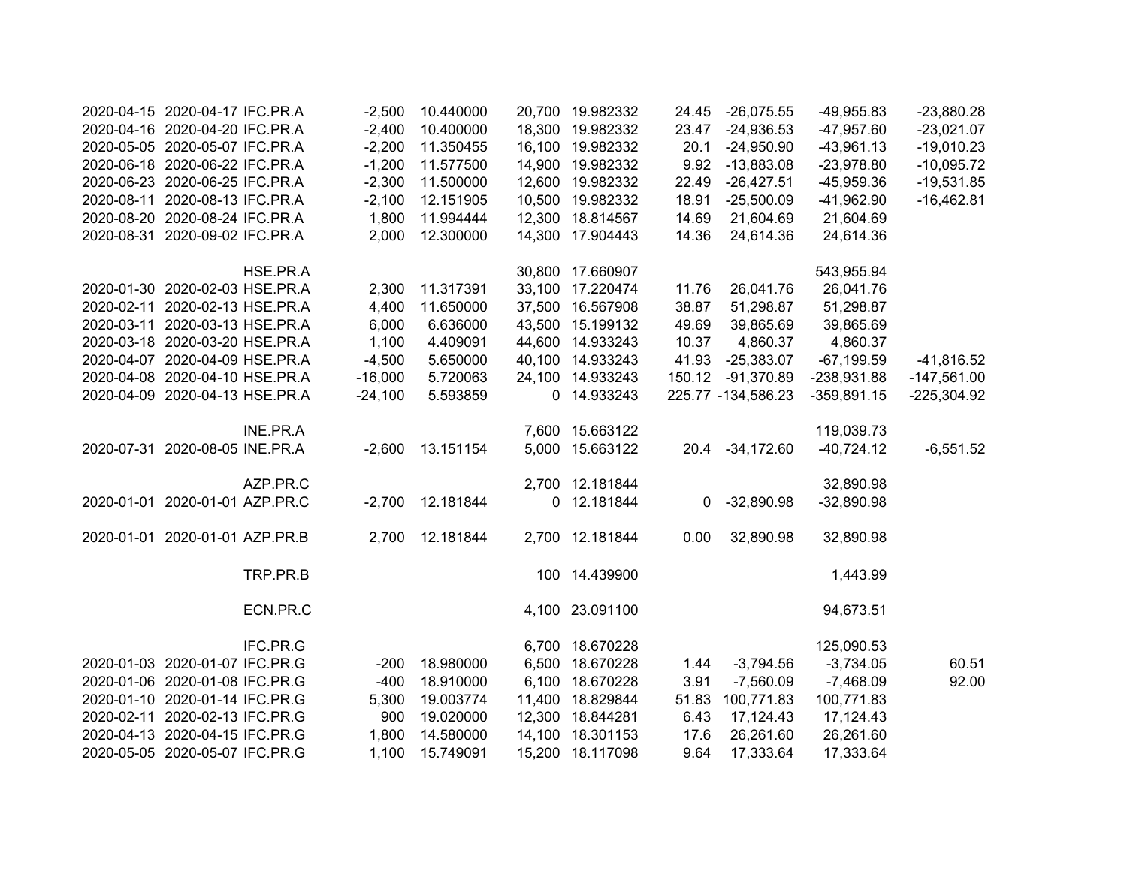| 2020-04-15 2020-04-17 IFC.PR.A | $-2,500$  | 10.440000 | 20,700 19.982332 | 24.45  | $-26,075.55$       | -49,955.83    | $-23,880.28$  |
|--------------------------------|-----------|-----------|------------------|--------|--------------------|---------------|---------------|
| 2020-04-16 2020-04-20 IFC.PR.A | $-2,400$  | 10.400000 | 18,300 19.982332 | 23.47  | $-24,936.53$       | $-47,957.60$  | $-23,021.07$  |
| 2020-05-05 2020-05-07 IFC.PR.A | $-2,200$  | 11.350455 | 16,100 19.982332 | 20.1   | $-24,950.90$       | $-43,961.13$  | $-19,010.23$  |
| 2020-06-18 2020-06-22 IFC.PR.A | $-1,200$  | 11.577500 | 14,900 19.982332 | 9.92   | $-13,883.08$       | $-23,978.80$  | $-10,095.72$  |
| 2020-06-23 2020-06-25 IFC.PR.A | $-2,300$  | 11.500000 | 12,600 19.982332 | 22.49  | $-26,427.51$       | $-45,959.36$  | $-19,531.85$  |
| 2020-08-11 2020-08-13 IFC.PR.A | $-2,100$  | 12.151905 | 10,500 19.982332 | 18.91  | $-25,500.09$       | $-41,962.90$  | $-16,462.81$  |
| 2020-08-20 2020-08-24 IFC.PR.A | 1,800     | 11.994444 | 12,300 18.814567 | 14.69  | 21,604.69          | 21,604.69     |               |
| 2020-08-31 2020-09-02 IFC.PR.A | 2,000     | 12.300000 | 14,300 17.904443 | 14.36  | 24,614.36          | 24,614.36     |               |
| HSE.PR.A                       |           |           | 30,800 17.660907 |        |                    | 543,955.94    |               |
| 2020-01-30 2020-02-03 HSE.PR.A | 2,300     | 11.317391 | 33,100 17.220474 | 11.76  | 26,041.76          | 26,041.76     |               |
| 2020-02-11 2020-02-13 HSE.PR.A | 4,400     | 11.650000 | 37,500 16.567908 | 38.87  | 51,298.87          | 51,298.87     |               |
| 2020-03-11 2020-03-13 HSE.PR.A | 6,000     | 6.636000  | 43,500 15.199132 | 49.69  | 39,865.69          | 39,865.69     |               |
| 2020-03-18 2020-03-20 HSE.PR.A | 1,100     | 4.409091  | 44,600 14.933243 | 10.37  | 4,860.37           | 4,860.37      |               |
| 2020-04-07 2020-04-09 HSE.PR.A | $-4,500$  | 5.650000  | 40,100 14.933243 | 41.93  | $-25,383.07$       | $-67,199.59$  | $-41,816.52$  |
| 2020-04-08 2020-04-10 HSE.PR.A | $-16,000$ | 5.720063  | 24,100 14.933243 | 150.12 | $-91,370.89$       | -238,931.88   | $-147,561.00$ |
| 2020-04-09 2020-04-13 HSE.PR.A | $-24,100$ | 5.593859  | 0 14.933243      |        | 225.77 -134,586.23 | $-359,891.15$ | $-225,304.92$ |
| INE.PR.A                       |           |           | 7,600 15.663122  |        |                    | 119,039.73    |               |
| 2020-07-31 2020-08-05 INE.PR.A | $-2,600$  | 13.151154 | 5,000 15.663122  | 20.4   | $-34,172.60$       | $-40,724.12$  | $-6,551.52$   |
| AZP.PR.C                       |           |           | 2,700 12.181844  |        |                    | 32,890.98     |               |
| 2020-01-01 2020-01-01 AZP.PR.C | $-2,700$  | 12.181844 | 0 12.181844      | 0      | $-32,890.98$       | $-32,890.98$  |               |
| 2020-01-01 2020-01-01 AZP.PR.B | 2,700     | 12.181844 | 2,700 12.181844  | 0.00   | 32,890.98          | 32,890.98     |               |
| TRP.PR.B                       |           |           | 100 14.439900    |        |                    | 1,443.99      |               |
| ECN.PR.C                       |           |           | 4,100 23.091100  |        |                    | 94,673.51     |               |
| IFC.PR.G                       |           |           | 6,700 18.670228  |        |                    | 125,090.53    |               |
| 2020-01-03 2020-01-07 IFC.PR.G | $-200$    | 18.980000 | 6,500 18.670228  | 1.44   | $-3,794.56$        | $-3,734.05$   | 60.51         |
| 2020-01-06 2020-01-08 IFC.PR.G | $-400$    | 18.910000 | 6,100 18.670228  | 3.91   | $-7,560.09$        | $-7,468.09$   | 92.00         |
| 2020-01-10 2020-01-14 IFC.PR.G | 5,300     | 19.003774 | 11,400 18.829844 | 51.83  | 100,771.83         | 100,771.83    |               |
| 2020-02-11 2020-02-13 IFC.PR.G | 900       | 19.020000 | 12,300 18.844281 | 6.43   | 17,124.43          | 17,124.43     |               |
| 2020-04-13 2020-04-15 IFC.PR.G | 1,800     | 14.580000 | 14,100 18.301153 | 17.6   | 26,261.60          | 26,261.60     |               |
| 2020-05-05 2020-05-07 IFC.PR.G | 1,100     | 15.749091 | 15,200 18.117098 | 9.64   | 17,333.64          | 17,333.64     |               |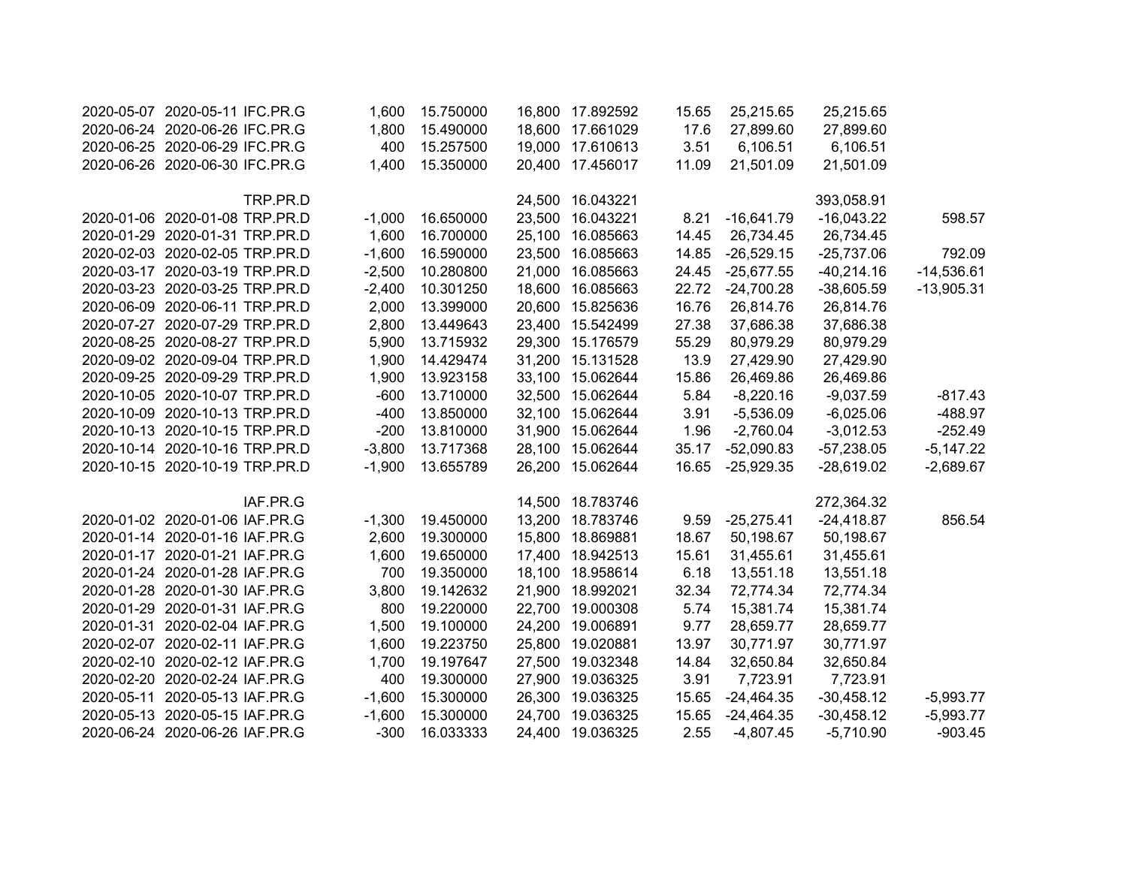|              | 25,215.65    | 25,215.65    | 15.65 | 16,800 17.892592 | 15.750000 | 1,600    | 2020-05-07 2020-05-11 IFC.PR.G |  |
|--------------|--------------|--------------|-------|------------------|-----------|----------|--------------------------------|--|
|              | 27,899.60    | 27,899.60    | 17.6  | 18,600 17.661029 | 15.490000 | 1,800    | 2020-06-24 2020-06-26 IFC.PR.G |  |
|              | 6,106.51     | 6,106.51     | 3.51  | 19,000 17.610613 | 15.257500 | 400      | 2020-06-25 2020-06-29 IFC.PR.G |  |
|              | 21,501.09    | 21,501.09    | 11.09 | 20,400 17.456017 | 15.350000 | 1,400    | 2020-06-26 2020-06-30 IFC.PR.G |  |
|              | 393,058.91   |              |       | 24,500 16.043221 |           |          | TRP.PR.D                       |  |
| 598.57       | $-16,043.22$ | $-16,641.79$ | 8.21  | 23,500 16.043221 | 16.650000 | $-1,000$ | 2020-01-06 2020-01-08 TRP.PR.D |  |
|              | 26,734.45    | 26,734.45    | 14.45 | 25,100 16.085663 | 16.700000 | 1,600    | 2020-01-29 2020-01-31 TRP.PR.D |  |
| 792.09       | $-25,737.06$ | $-26,529.15$ | 14.85 | 23,500 16.085663 | 16.590000 | $-1,600$ | 2020-02-03 2020-02-05 TRP.PR.D |  |
| $-14,536.61$ | $-40,214.16$ | $-25,677.55$ | 24.45 | 21,000 16.085663 | 10.280800 | $-2,500$ | 2020-03-17 2020-03-19 TRP.PR.D |  |
| $-13,905.31$ | $-38,605.59$ | $-24,700.28$ | 22.72 | 18,600 16.085663 | 10.301250 | $-2,400$ | 2020-03-23 2020-03-25 TRP.PR.D |  |
|              | 26,814.76    | 26,814.76    | 16.76 | 20,600 15.825636 | 13.399000 | 2,000    | 2020-06-09 2020-06-11 TRP.PR.D |  |
|              | 37,686.38    | 37,686.38    | 27.38 | 23,400 15.542499 | 13.449643 | 2,800    | 2020-07-27 2020-07-29 TRP.PR.D |  |
|              | 80,979.29    | 80,979.29    | 55.29 | 29,300 15.176579 | 13.715932 | 5,900    | 2020-08-25 2020-08-27 TRP.PR.D |  |
|              | 27,429.90    | 27,429.90    | 13.9  | 31,200 15.131528 | 14.429474 | 1,900    | 2020-09-02 2020-09-04 TRP.PR.D |  |
|              | 26,469.86    | 26,469.86    | 15.86 | 33,100 15.062644 | 13.923158 | 1,900    | 2020-09-25 2020-09-29 TRP.PR.D |  |
| $-817.43$    | $-9,037.59$  | $-8,220.16$  | 5.84  | 32,500 15.062644 | 13.710000 | $-600$   | 2020-10-05 2020-10-07 TRP.PR.D |  |
| $-488.97$    | $-6,025.06$  | $-5,536.09$  | 3.91  | 32,100 15.062644 | 13.850000 | $-400$   | 2020-10-09 2020-10-13 TRP.PR.D |  |
| $-252.49$    | $-3,012.53$  | $-2,760.04$  | 1.96  | 31,900 15.062644 | 13.810000 | $-200$   | 2020-10-13 2020-10-15 TRP.PR.D |  |
| $-5,147.22$  | $-57,238.05$ | $-52,090.83$ | 35.17 | 28,100 15.062644 | 13.717368 | $-3,800$ | 2020-10-14 2020-10-16 TRP.PR.D |  |
| $-2,689.67$  | $-28,619.02$ | $-25,929.35$ | 16.65 | 26,200 15.062644 | 13.655789 | $-1,900$ | 2020-10-15 2020-10-19 TRP.PR.D |  |
|              | 272,364.32   |              |       | 14,500 18.783746 |           |          | IAF.PR.G                       |  |
| 856.54       | $-24,418.87$ | $-25,275.41$ | 9.59  | 13,200 18.783746 | 19.450000 | $-1,300$ | 2020-01-02 2020-01-06 IAF.PR.G |  |
|              | 50,198.67    | 50,198.67    | 18.67 | 15,800 18.869881 | 19.300000 | 2,600    | 2020-01-14 2020-01-16 IAF.PR.G |  |
|              | 31,455.61    | 31,455.61    | 15.61 | 17,400 18.942513 | 19.650000 | 1,600    | 2020-01-17 2020-01-21 IAF.PR.G |  |
|              | 13,551.18    | 13,551.18    | 6.18  | 18,100 18.958614 | 19.350000 | 700      | 2020-01-24 2020-01-28 IAF.PR.G |  |
|              | 72,774.34    | 72,774.34    | 32.34 | 21,900 18.992021 | 19.142632 | 3,800    | 2020-01-28 2020-01-30 IAF.PR.G |  |
|              | 15,381.74    | 15,381.74    | 5.74  | 22,700 19.000308 | 19.220000 | 800      | 2020-01-29 2020-01-31 IAF.PR.G |  |
|              | 28,659.77    | 28,659.77    | 9.77  | 24,200 19.006891 | 19.100000 | 1,500    | 2020-01-31 2020-02-04 IAF.PR.G |  |
|              | 30,771.97    | 30,771.97    | 13.97 | 25,800 19.020881 | 19.223750 | 1,600    | 2020-02-07 2020-02-11 IAF.PR.G |  |
|              | 32,650.84    | 32,650.84    | 14.84 | 27,500 19.032348 | 19.197647 | 1,700    | 2020-02-10 2020-02-12 IAF.PR.G |  |
|              | 7,723.91     | 7,723.91     | 3.91  | 27,900 19.036325 | 19.300000 | 400      | 2020-02-20 2020-02-24 IAF.PR.G |  |
| $-5,993.77$  | $-30,458.12$ | $-24,464.35$ | 15.65 | 26,300 19.036325 | 15.300000 | $-1,600$ | 2020-05-11 2020-05-13 IAF.PR.G |  |
| $-5,993.77$  | $-30,458.12$ | $-24,464.35$ | 15.65 | 24,700 19.036325 | 15.300000 | $-1,600$ | 2020-05-13 2020-05-15 IAF.PR.G |  |
| $-903.45$    | $-5,710.90$  | $-4,807.45$  | 2.55  | 24,400 19.036325 | 16.033333 | $-300$   | 2020-06-24 2020-06-26 IAF.PR.G |  |
|              |              |              |       |                  |           |          |                                |  |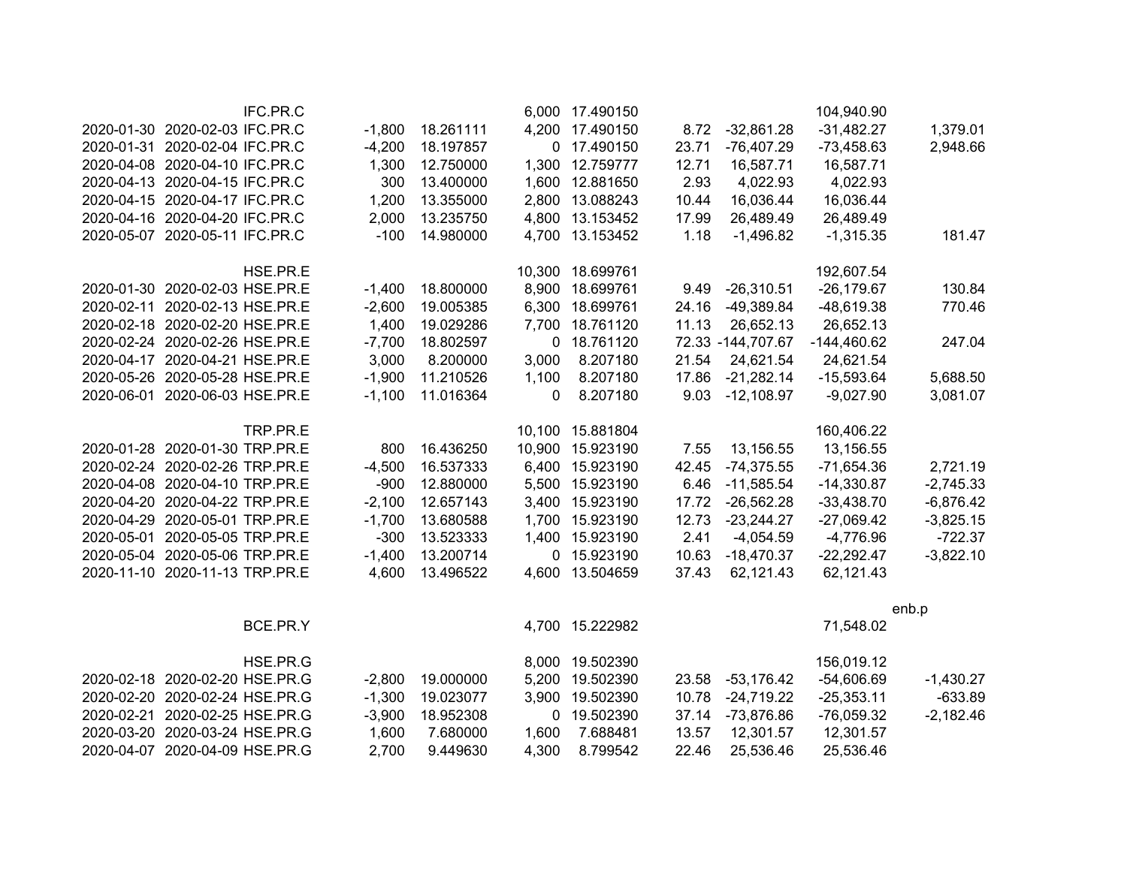|                                | IFC.PR.C |          |           |       | 6,000 17.490150  |       |                   | 104,940.90    |             |
|--------------------------------|----------|----------|-----------|-------|------------------|-------|-------------------|---------------|-------------|
| 2020-01-30 2020-02-03 IFC.PR.C |          | $-1,800$ | 18.261111 |       | 4,200 17.490150  | 8.72  | $-32,861.28$      | $-31,482.27$  | 1,379.01    |
| 2020-01-31 2020-02-04 IFC.PR.C |          | $-4,200$ | 18.197857 |       | 0 17.490150      | 23.71 | $-76,407.29$      | $-73,458.63$  | 2,948.66    |
| 2020-04-08 2020-04-10 IFC.PR.C |          | 1,300    | 12.750000 |       | 1,300 12.759777  | 12.71 | 16,587.71         | 16,587.71     |             |
| 2020-04-13 2020-04-15 IFC.PR.C |          | 300      | 13.400000 |       | 1,600 12.881650  | 2.93  | 4,022.93          | 4,022.93      |             |
| 2020-04-15 2020-04-17 IFC.PR.C |          | 1,200    | 13.355000 |       | 2,800 13.088243  | 10.44 | 16,036.44         | 16,036.44     |             |
| 2020-04-16 2020-04-20 IFC.PR.C |          | 2,000    | 13.235750 |       | 4,800 13.153452  | 17.99 | 26,489.49         | 26,489.49     |             |
| 2020-05-07 2020-05-11 IFC.PR.C |          | $-100$   | 14.980000 |       | 4,700 13.153452  | 1.18  | $-1,496.82$       | $-1,315.35$   | 181.47      |
|                                | HSE.PR.E |          |           |       | 10,300 18.699761 |       |                   | 192,607.54    |             |
| 2020-01-30 2020-02-03 HSE.PR.E |          | $-1,400$ | 18.800000 |       | 8,900 18.699761  | 9.49  | $-26,310.51$      | $-26,179.67$  | 130.84      |
| 2020-02-11 2020-02-13 HSE.PR.E |          | $-2,600$ | 19.005385 |       | 6,300 18.699761  | 24.16 | $-49,389.84$      | -48,619.38    | 770.46      |
| 2020-02-18 2020-02-20 HSE.PR.E |          | 1,400    | 19.029286 |       | 7,700 18.761120  | 11.13 | 26,652.13         | 26,652.13     |             |
| 2020-02-24 2020-02-26 HSE.PR.E |          | $-7,700$ | 18.802597 |       | 0 18.761120      |       | 72.33 -144,707.67 | $-144,460.62$ | 247.04      |
| 2020-04-17 2020-04-21 HSE.PR.E |          | 3,000    | 8.200000  | 3,000 | 8.207180         | 21.54 | 24,621.54         | 24,621.54     |             |
| 2020-05-26 2020-05-28 HSE.PR.E |          | $-1,900$ | 11.210526 | 1,100 | 8.207180         | 17.86 | $-21,282.14$      | $-15,593.64$  | 5,688.50    |
| 2020-06-01 2020-06-03 HSE.PR.E |          | $-1,100$ | 11.016364 | 0     | 8.207180         | 9.03  | $-12,108.97$      | $-9,027.90$   | 3,081.07    |
|                                | TRP.PR.E |          |           |       | 10,100 15.881804 |       |                   | 160,406.22    |             |
| 2020-01-28 2020-01-30 TRP.PR.E |          | 800      | 16.436250 |       | 10,900 15.923190 | 7.55  | 13,156.55         | 13,156.55     |             |
| 2020-02-24 2020-02-26 TRP.PR.E |          | $-4,500$ | 16.537333 |       | 6,400 15.923190  | 42.45 | $-74,375.55$      | $-71,654.36$  | 2,721.19    |
| 2020-04-08 2020-04-10 TRP.PR.E |          | $-900$   | 12.880000 |       | 5,500 15.923190  | 6.46  | $-11,585.54$      | $-14,330.87$  | $-2,745.33$ |
| 2020-04-20 2020-04-22 TRP.PR.E |          | $-2,100$ | 12.657143 |       | 3,400 15.923190  | 17.72 | $-26,562.28$      | $-33,438.70$  | $-6,876.42$ |
| 2020-04-29 2020-05-01 TRP.PR.E |          | $-1,700$ | 13.680588 |       | 1,700 15.923190  | 12.73 | $-23,244.27$      | $-27,069.42$  | $-3,825.15$ |
| 2020-05-01 2020-05-05 TRP.PR.E |          | $-300$   | 13.523333 |       | 1,400 15.923190  | 2.41  | $-4,054.59$       | $-4,776.96$   | $-722.37$   |
| 2020-05-04 2020-05-06 TRP.PR.E |          | $-1,400$ | 13.200714 |       | 0 15.923190      | 10.63 | $-18,470.37$      | $-22,292.47$  | $-3,822.10$ |
| 2020-11-10 2020-11-13 TRP.PR.E |          | 4,600    | 13.496522 |       | 4,600 13.504659  | 37.43 | 62,121.43         | 62,121.43     |             |
|                                |          |          |           |       |                  |       |                   |               | enb.p       |
|                                | BCE.PR.Y |          |           |       | 4,700 15.222982  |       |                   | 71,548.02     |             |
|                                | HSE.PR.G |          |           |       | 8,000 19.502390  |       |                   | 156,019.12    |             |
| 2020-02-18 2020-02-20 HSE.PR.G |          | $-2,800$ | 19.000000 | 5,200 | 19.502390        | 23.58 | $-53,176.42$      | $-54,606.69$  | $-1,430.27$ |
| 2020-02-20 2020-02-24 HSE.PR.G |          | $-1,300$ | 19.023077 | 3,900 | 19.502390        | 10.78 | $-24,719.22$      | $-25,353.11$  | $-633.89$   |
| 2020-02-21 2020-02-25 HSE.PR.G |          | $-3,900$ | 18.952308 |       | 0 19.502390      | 37.14 | -73,876.86        | $-76,059.32$  | $-2,182.46$ |
| 2020-03-20 2020-03-24 HSE.PR.G |          | 1,600    | 7.680000  | 1,600 | 7.688481         | 13.57 | 12,301.57         | 12,301.57     |             |
| 2020-04-07 2020-04-09 HSE.PR.G |          | 2,700    | 9.449630  | 4,300 | 8.799542         | 22.46 | 25,536.46         | 25,536.46     |             |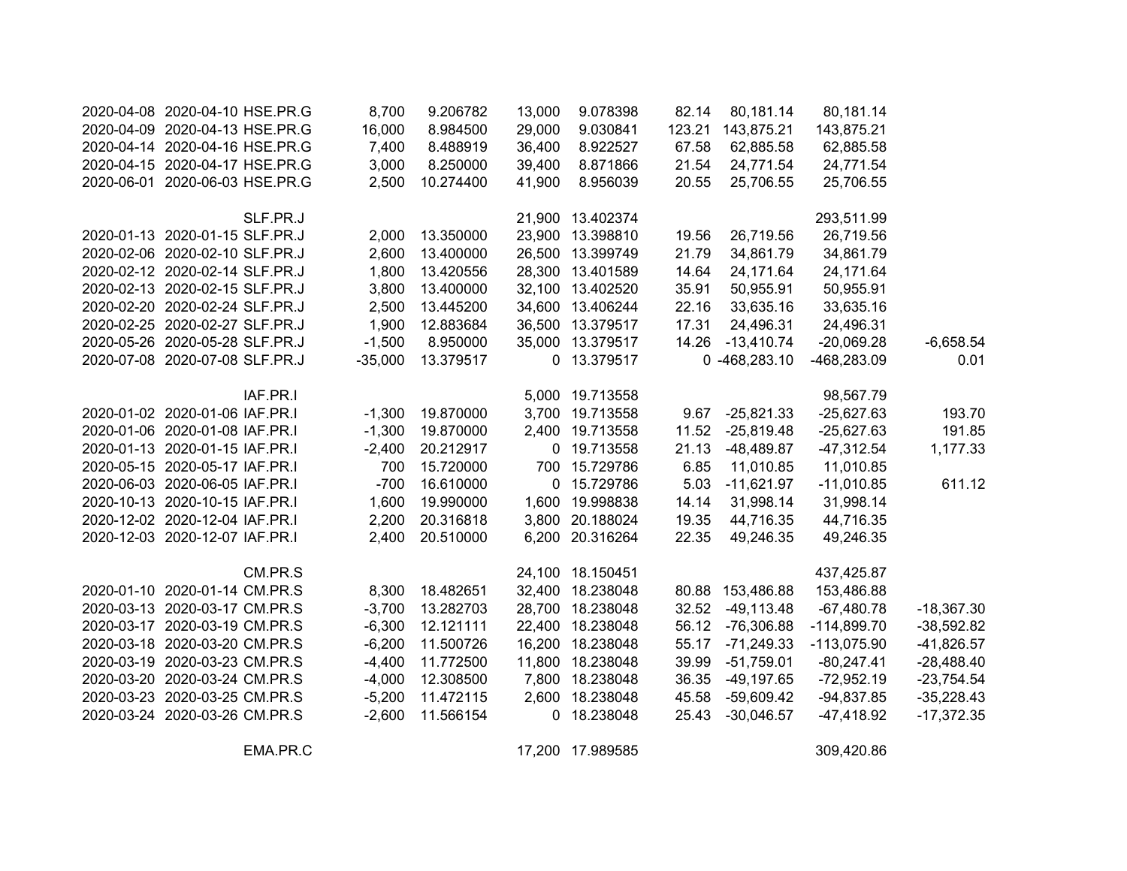| 2020-04-08 2020-04-10 HSE.PR.G | 8,700     | 9.206782  | 13,000 | 9.078398         | 82.14  | 80,181.14        | 80,181.14     |              |
|--------------------------------|-----------|-----------|--------|------------------|--------|------------------|---------------|--------------|
| 2020-04-09 2020-04-13 HSE.PR.G | 16,000    | 8.984500  | 29,000 | 9.030841         | 123.21 | 143,875.21       | 143,875.21    |              |
| 2020-04-14 2020-04-16 HSE.PR.G | 7,400     | 8.488919  | 36,400 | 8.922527         | 67.58  | 62,885.58        | 62,885.58     |              |
| 2020-04-15 2020-04-17 HSE.PR.G | 3,000     | 8.250000  | 39,400 | 8.871866         | 21.54  | 24,771.54        | 24,771.54     |              |
| 2020-06-01 2020-06-03 HSE.PR.G | 2,500     | 10.274400 | 41,900 | 8.956039         | 20.55  | 25,706.55        | 25,706.55     |              |
| SLF.PR.J                       |           |           |        | 21,900 13.402374 |        |                  | 293,511.99    |              |
| 2020-01-13 2020-01-15 SLF.PR.J | 2,000     | 13.350000 |        | 23,900 13.398810 | 19.56  | 26,719.56        | 26,719.56     |              |
| 2020-02-06 2020-02-10 SLF.PR.J | 2,600     | 13.400000 |        | 26,500 13.399749 | 21.79  | 34,861.79        | 34,861.79     |              |
| 2020-02-12 2020-02-14 SLF.PR.J | 1,800     | 13.420556 |        | 28,300 13.401589 | 14.64  | 24,171.64        | 24,171.64     |              |
| 2020-02-13 2020-02-15 SLF.PR.J | 3,800     | 13.400000 |        | 32,100 13.402520 | 35.91  | 50,955.91        | 50,955.91     |              |
| 2020-02-20 2020-02-24 SLF.PR.J | 2,500     | 13.445200 |        | 34,600 13.406244 | 22.16  | 33,635.16        | 33,635.16     |              |
| 2020-02-25 2020-02-27 SLF.PR.J | 1,900     | 12.883684 |        | 36,500 13.379517 | 17.31  | 24,496.31        | 24,496.31     |              |
| 2020-05-26 2020-05-28 SLF.PR.J | $-1,500$  | 8.950000  |        | 35,000 13.379517 | 14.26  | $-13,410.74$     | $-20,069.28$  | $-6,658.54$  |
| 2020-07-08 2020-07-08 SLF.PR.J | $-35,000$ | 13.379517 |        | 0 13.379517      |        | 0 -468,283.10    | -468,283.09   | 0.01         |
| IAF.PR.I                       |           |           |        | 5,000 19.713558  |        |                  | 98,567.79     |              |
| 2020-01-02 2020-01-06 IAF.PR.I | $-1,300$  | 19.870000 |        | 3,700 19.713558  | 9.67   | $-25,821.33$     | $-25,627.63$  | 193.70       |
| 2020-01-06 2020-01-08 IAF.PR.I | $-1,300$  | 19.870000 |        | 2,400 19.713558  | 11.52  | $-25,819.48$     | $-25,627.63$  | 191.85       |
| 2020-01-13 2020-01-15 IAF.PR.I | $-2,400$  | 20.212917 |        | 0 19.713558      | 21.13  | -48,489.87       | $-47,312.54$  | 1,177.33     |
| 2020-05-15 2020-05-17 IAF.PR.I | 700       | 15.720000 |        | 700 15.729786    | 6.85   | 11,010.85        | 11,010.85     |              |
| 2020-06-03 2020-06-05 IAF.PR.I | $-700$    | 16.610000 |        | 0 15.729786      | 5.03   | $-11,621.97$     | $-11,010.85$  | 611.12       |
| 2020-10-13 2020-10-15 IAF.PR.I | 1,600     | 19.990000 |        | 1,600 19.998838  | 14.14  | 31,998.14        | 31,998.14     |              |
| 2020-12-02 2020-12-04 IAF.PR.I | 2,200     | 20.316818 |        | 3,800 20.188024  | 19.35  | 44,716.35        | 44,716.35     |              |
| 2020-12-03 2020-12-07 IAF.PR.I | 2,400     | 20.510000 |        | 6,200 20.316264  | 22.35  | 49,246.35        | 49,246.35     |              |
| CM.PR.S                        |           |           |        | 24,100 18.150451 |        |                  | 437,425.87    |              |
| 2020-01-10 2020-01-14 CM.PR.S  | 8,300     | 18.482651 |        | 32,400 18.238048 |        | 80.88 153,486.88 | 153,486.88    |              |
| 2020-03-13 2020-03-17 CM.PR.S  | $-3,700$  | 13.282703 |        | 28,700 18.238048 | 32.52  | $-49,113.48$     | $-67,480.78$  | $-18,367.30$ |
| 2020-03-17 2020-03-19 CM.PR.S  | $-6,300$  | 12.121111 |        | 22,400 18.238048 | 56.12  | $-76,306.88$     | $-114,899.70$ | $-38,592.82$ |
| 2020-03-18 2020-03-20 CM.PR.S  | $-6,200$  | 11.500726 |        | 16,200 18.238048 | 55.17  | $-71,249.33$     | $-113,075.90$ | $-41,826.57$ |
| 2020-03-19 2020-03-23 CM.PR.S  | $-4,400$  | 11.772500 |        | 11,800 18.238048 | 39.99  | $-51,759.01$     | $-80,247.41$  | $-28,488.40$ |
| 2020-03-20 2020-03-24 CM.PR.S  | $-4,000$  | 12.308500 |        | 7,800 18.238048  | 36.35  | -49,197.65       | $-72,952.19$  | $-23,754.54$ |
| 2020-03-23 2020-03-25 CM.PR.S  | $-5,200$  | 11.472115 |        | 2,600 18.238048  | 45.58  | -59,609.42       | $-94,837.85$  | $-35,228.43$ |
| 2020-03-24 2020-03-26 CM.PR.S  | $-2,600$  | 11.566154 |        | 0 18.238048      | 25.43  | $-30,046.57$     | $-47,418.92$  | $-17,372.35$ |
| EMA.PR.C                       |           |           |        | 17,200 17.989585 |        |                  | 309,420.86    |              |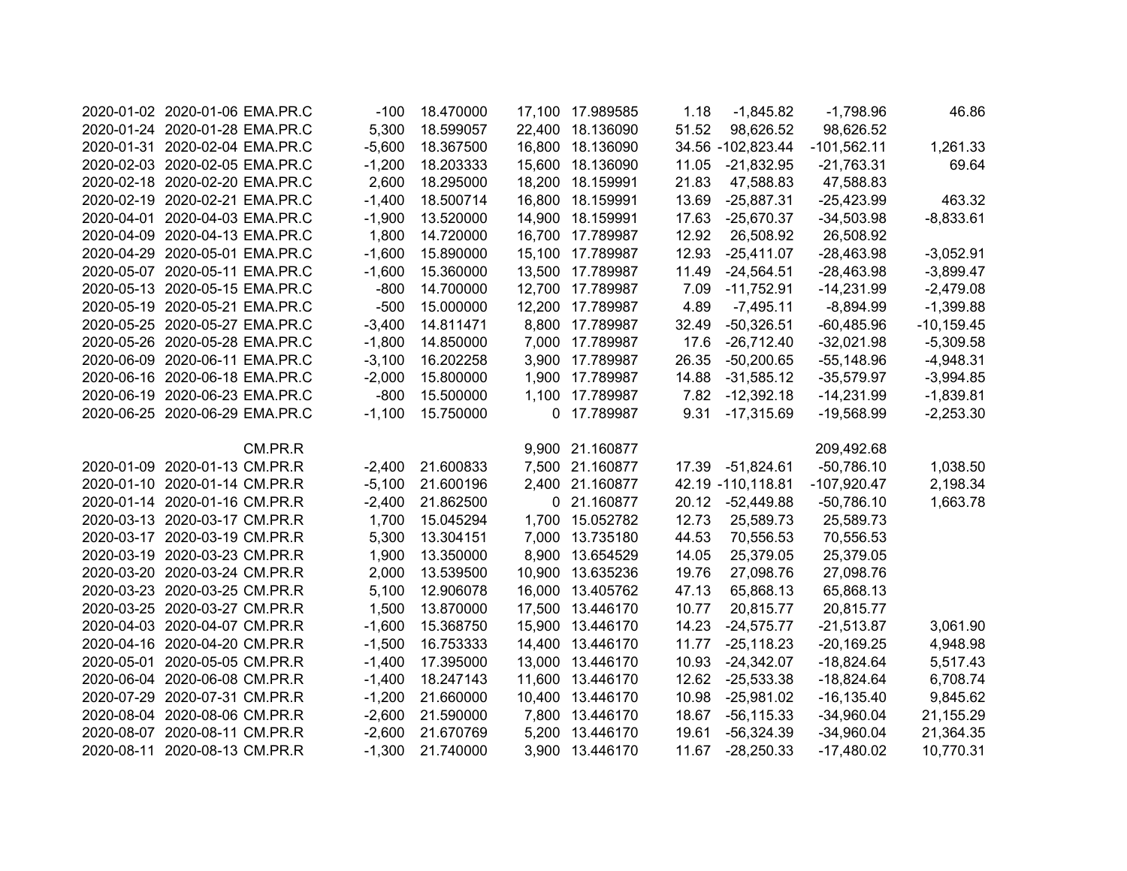| 2020-01-02 2020-01-06 EMA.PR.C | $-100$   | 18.470000 | 17,100 17.989585 | 1.18  | $-1,845.82$       | $-1,798.96$   | 46.86         |
|--------------------------------|----------|-----------|------------------|-------|-------------------|---------------|---------------|
| 2020-01-24 2020-01-28 EMA.PR.C | 5,300    | 18.599057 | 22,400 18.136090 | 51.52 | 98,626.52         | 98,626.52     |               |
| 2020-01-31 2020-02-04 EMA.PR.C | $-5,600$ | 18.367500 | 16,800 18.136090 |       | 34.56 -102,823.44 | $-101,562.11$ | 1,261.33      |
| 2020-02-03 2020-02-05 EMA.PR.C | $-1,200$ | 18.203333 | 15,600 18.136090 | 11.05 | $-21,832.95$      | $-21,763.31$  | 69.64         |
| 2020-02-18 2020-02-20 EMA.PR.C | 2,600    | 18.295000 | 18,200 18.159991 | 21.83 | 47,588.83         | 47,588.83     |               |
| 2020-02-19 2020-02-21 EMA.PR.C | $-1,400$ | 18.500714 | 16,800 18.159991 | 13.69 | $-25,887.31$      | $-25,423.99$  | 463.32        |
| 2020-04-01 2020-04-03 EMA.PR.C | $-1,900$ | 13.520000 | 14,900 18.159991 | 17.63 | $-25,670.37$      | $-34,503.98$  | $-8,833.61$   |
| 2020-04-09 2020-04-13 EMA.PR.C | 1,800    | 14.720000 | 16,700 17.789987 | 12.92 | 26,508.92         | 26,508.92     |               |
| 2020-04-29 2020-05-01 EMA.PR.C | $-1,600$ | 15.890000 | 15,100 17.789987 | 12.93 | $-25,411.07$      | $-28,463.98$  | $-3,052.91$   |
| 2020-05-07 2020-05-11 EMA.PR.C | $-1,600$ | 15.360000 | 13,500 17.789987 | 11.49 | $-24,564.51$      | $-28,463.98$  | $-3,899.47$   |
| 2020-05-13 2020-05-15 EMA.PR.C | $-800$   | 14.700000 | 12,700 17.789987 | 7.09  | $-11,752.91$      | $-14,231.99$  | $-2,479.08$   |
| 2020-05-19 2020-05-21 EMA.PR.C | $-500$   | 15.000000 | 12,200 17.789987 | 4.89  | $-7,495.11$       | $-8,894.99$   | $-1,399.88$   |
| 2020-05-25 2020-05-27 EMA.PR.C | $-3,400$ | 14.811471 | 8,800 17.789987  | 32.49 | $-50,326.51$      | $-60,485.96$  | $-10, 159.45$ |
| 2020-05-26 2020-05-28 EMA.PR.C | $-1,800$ | 14.850000 | 7,000 17.789987  | 17.6  | $-26,712.40$      | $-32,021.98$  | $-5,309.58$   |
| 2020-06-09 2020-06-11 EMA.PR.C | $-3,100$ | 16.202258 | 3,900 17.789987  | 26.35 | $-50,200.65$      | $-55,148.96$  | $-4,948.31$   |
| 2020-06-16 2020-06-18 EMA.PR.C | $-2,000$ | 15.800000 | 1,900 17.789987  | 14.88 | $-31,585.12$      | $-35,579.97$  | $-3,994.85$   |
| 2020-06-19 2020-06-23 EMA.PR.C | $-800$   | 15.500000 | 1,100 17.789987  |       | 7.82 -12,392.18   | $-14,231.99$  | $-1,839.81$   |
| 2020-06-25 2020-06-29 EMA.PR.C | $-1,100$ | 15.750000 | 0 17.789987      | 9.31  | $-17,315.69$      | $-19,568.99$  | $-2,253.30$   |
| CM.PR.R                        |          |           | 9,900 21.160877  |       |                   | 209,492.68    |               |
| 2020-01-09 2020-01-13 CM.PR.R  | $-2,400$ | 21.600833 | 7,500 21.160877  | 17.39 | $-51,824.61$      | $-50,786.10$  | 1,038.50      |
| 2020-01-10 2020-01-14 CM.PR.R  | $-5,100$ | 21.600196 | 2,400 21.160877  |       | 42.19 -110,118.81 | $-107,920.47$ | 2,198.34      |
| 2020-01-14 2020-01-16 CM.PR.R  | $-2,400$ | 21.862500 | 0 21.160877      | 20.12 | $-52,449.88$      | $-50,786.10$  | 1,663.78      |
| 2020-03-13 2020-03-17 CM.PR.R  | 1,700    | 15.045294 | 1,700 15.052782  | 12.73 | 25,589.73         | 25,589.73     |               |
| 2020-03-17 2020-03-19 CM.PR.R  | 5,300    | 13.304151 | 7,000 13.735180  | 44.53 | 70,556.53         | 70,556.53     |               |
| 2020-03-19 2020-03-23 CM.PR.R  | 1,900    | 13.350000 | 8,900 13.654529  | 14.05 | 25,379.05         | 25,379.05     |               |
| 2020-03-20 2020-03-24 CM.PR.R  | 2,000    | 13.539500 | 10,900 13.635236 | 19.76 | 27,098.76         | 27,098.76     |               |
| 2020-03-23 2020-03-25 CM.PR.R  | 5,100    | 12.906078 | 16,000 13.405762 | 47.13 | 65,868.13         | 65,868.13     |               |
| 2020-03-25 2020-03-27 CM.PR.R  | 1,500    | 13.870000 | 17,500 13.446170 | 10.77 | 20,815.77         | 20,815.77     |               |
| 2020-04-03 2020-04-07 CM.PR.R  | $-1,600$ | 15.368750 | 15,900 13.446170 | 14.23 | $-24,575.77$      | $-21,513.87$  | 3,061.90      |
| 2020-04-16 2020-04-20 CM.PR.R  | $-1,500$ | 16.753333 | 14,400 13.446170 | 11.77 | $-25,118.23$      | $-20,169.25$  | 4,948.98      |
| 2020-05-01 2020-05-05 CM.PR.R  | $-1,400$ | 17.395000 | 13,000 13.446170 | 10.93 | $-24,342.07$      | $-18,824.64$  | 5,517.43      |
| 2020-06-04 2020-06-08 CM.PR.R  | $-1,400$ | 18.247143 | 11,600 13.446170 | 12.62 | $-25,533.38$      | $-18,824.64$  | 6,708.74      |
| 2020-07-29 2020-07-31 CM.PR.R  | $-1,200$ | 21.660000 | 10,400 13.446170 | 10.98 | $-25,981.02$      | $-16, 135.40$ | 9,845.62      |
| 2020-08-04 2020-08-06 CM.PR.R  | $-2,600$ | 21.590000 | 7,800 13.446170  | 18.67 | $-56, 115.33$     | $-34,960.04$  | 21,155.29     |
| 2020-08-07 2020-08-11 CM.PR.R  | $-2,600$ | 21.670769 | 5,200 13.446170  | 19.61 | $-56,324.39$      | $-34,960.04$  | 21,364.35     |
| 2020-08-11 2020-08-13 CM.PR.R  | $-1,300$ | 21.740000 | 3,900 13.446170  | 11.67 | $-28,250.33$      | $-17,480.02$  | 10,770.31     |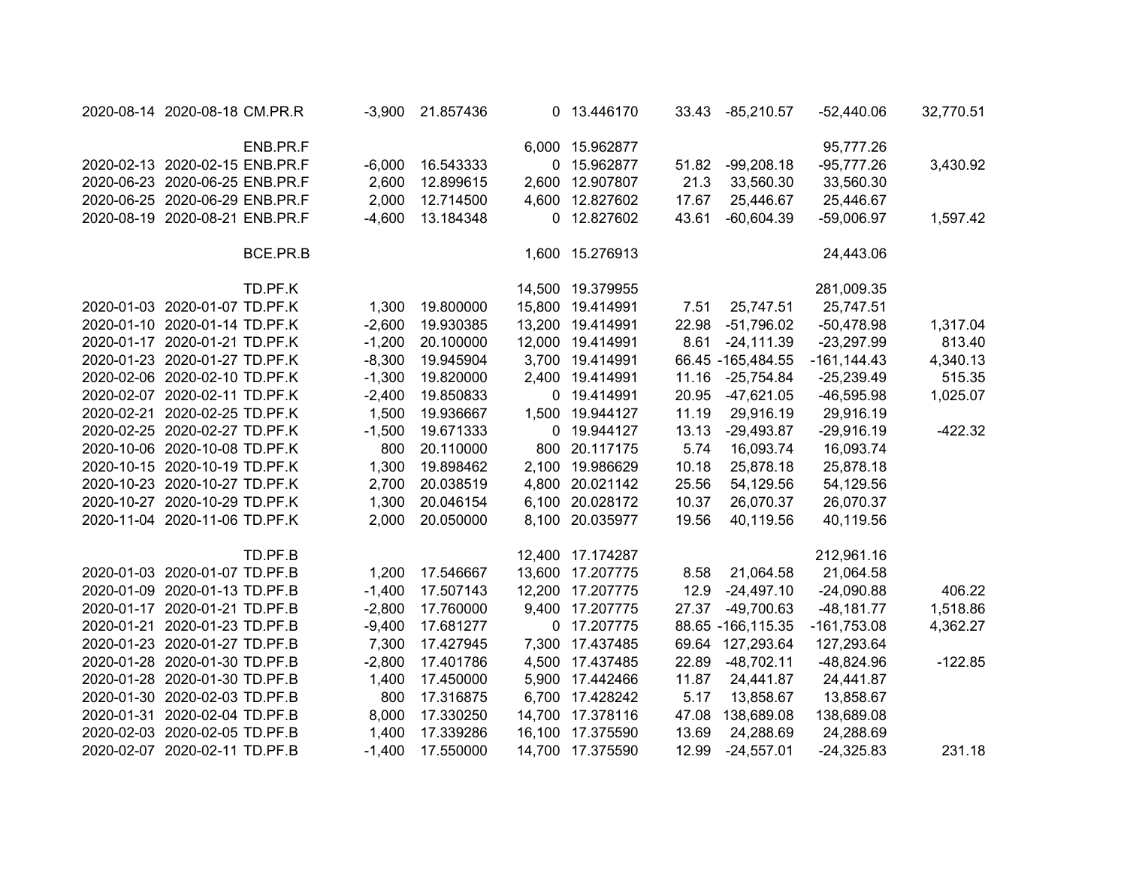| 2020-08-14 2020-08-18 CM.PR.R  | $-3,900$ | 21.857436 | 0 13.446170      |       | 33.43 -85,210.57    | $-52,440.06$   | 32,770.51 |
|--------------------------------|----------|-----------|------------------|-------|---------------------|----------------|-----------|
| ENB.PR.F                       |          |           | 6,000 15.962877  |       |                     | 95,777.26      |           |
| 2020-02-13 2020-02-15 ENB.PR.F | $-6,000$ | 16.543333 | 0 15.962877      | 51.82 | $-99,208.18$        | $-95,777.26$   | 3,430.92  |
| 2020-06-23 2020-06-25 ENB.PR.F | 2,600    | 12.899615 | 2,600 12.907807  | 21.3  | 33,560.30           | 33,560.30      |           |
| 2020-06-25 2020-06-29 ENB.PR.F | 2,000    | 12.714500 | 4,600 12.827602  | 17.67 | 25,446.67           | 25,446.67      |           |
| 2020-08-19 2020-08-21 ENB.PR.F | $-4,600$ | 13.184348 | 0 12.827602      | 43.61 | $-60,604.39$        | $-59,006.97$   | 1,597.42  |
| BCE.PR.B                       |          |           | 1,600 15.276913  |       |                     | 24,443.06      |           |
| TD.PF.K                        |          |           | 14,500 19.379955 |       |                     | 281,009.35     |           |
| 2020-01-03 2020-01-07 TD.PF.K  | 1,300    | 19.800000 | 15,800 19.414991 | 7.51  | 25,747.51           | 25,747.51      |           |
| 2020-01-10 2020-01-14 TD.PF.K  | $-2,600$ | 19.930385 | 13,200 19.414991 | 22.98 | $-51,796.02$        | $-50,478.98$   | 1,317.04  |
| 2020-01-17 2020-01-21 TD.PF.K  | $-1,200$ | 20.100000 | 12,000 19.414991 | 8.61  | $-24, 111.39$       | $-23,297.99$   | 813.40    |
| 2020-01-23 2020-01-27 TD.PF.K  | $-8,300$ | 19.945904 | 3,700 19.414991  |       | 66.45 -165,484.55   | $-161, 144.43$ | 4,340.13  |
| 2020-02-06 2020-02-10 TD.PF.K  | $-1,300$ | 19.820000 | 2,400 19.414991  | 11.16 | $-25,754.84$        | $-25,239.49$   | 515.35    |
| 2020-02-07 2020-02-11 TD.PF.K  | $-2,400$ | 19.850833 | 0 19.414991      | 20.95 | $-47,621.05$        | -46,595.98     | 1,025.07  |
| 2020-02-21 2020-02-25 TD.PF.K  | 1,500    | 19.936667 | 1,500 19.944127  | 11.19 | 29,916.19           | 29,916.19      |           |
| 2020-02-25 2020-02-27 TD.PF.K  | $-1,500$ | 19.671333 | 0 19.944127      | 13.13 | $-29,493.87$        | $-29,916.19$   | $-422.32$ |
| 2020-10-06 2020-10-08 TD.PF.K  | 800      | 20.110000 | 800 20.117175    | 5.74  | 16,093.74           | 16,093.74      |           |
| 2020-10-15 2020-10-19 TD.PF.K  | 1,300    | 19.898462 | 2,100 19.986629  | 10.18 | 25,878.18           | 25,878.18      |           |
| 2020-10-23 2020-10-27 TD.PF.K  | 2,700    | 20.038519 | 4,800 20.021142  | 25.56 | 54,129.56           | 54,129.56      |           |
| 2020-10-27 2020-10-29 TD.PF.K  | 1,300    | 20.046154 | 6,100 20.028172  | 10.37 | 26,070.37           | 26,070.37      |           |
| 2020-11-04 2020-11-06 TD.PF.K  | 2,000    | 20.050000 | 8,100 20.035977  | 19.56 | 40,119.56           | 40,119.56      |           |
| TD.PF.B                        |          |           | 12,400 17.174287 |       |                     | 212,961.16     |           |
| 2020-01-03 2020-01-07 TD.PF.B  | 1,200    | 17.546667 | 13,600 17.207775 | 8.58  | 21,064.58           | 21,064.58      |           |
| 2020-01-09 2020-01-13 TD.PF.B  | $-1,400$ | 17.507143 | 12,200 17.207775 | 12.9  | $-24,497.10$        | $-24,090.88$   | 406.22    |
| 2020-01-17 2020-01-21 TD.PF.B  | $-2,800$ | 17.760000 | 9,400 17.207775  | 27.37 | -49,700.63          | $-48,181.77$   | 1,518.86  |
| 2020-01-21 2020-01-23 TD.PF.B  | $-9,400$ | 17.681277 | 0 17.207775      |       | 88.65 - 166, 115.35 | $-161,753.08$  | 4,362.27  |
| 2020-01-23 2020-01-27 TD.PF.B  | 7,300    | 17.427945 | 7,300 17.437485  |       | 69.64 127,293.64    | 127,293.64     |           |
| 2020-01-28 2020-01-30 TD.PF.B  | $-2,800$ | 17.401786 | 4,500 17.437485  | 22.89 | $-48,702.11$        | -48,824.96     | $-122.85$ |
| 2020-01-28 2020-01-30 TD.PF.B  | 1,400    | 17.450000 | 5,900 17.442466  | 11.87 | 24,441.87           | 24,441.87      |           |
| 2020-01-30 2020-02-03 TD.PF.B  | 800      | 17.316875 | 6,700 17.428242  | 5.17  | 13,858.67           | 13,858.67      |           |
| 2020-01-31 2020-02-04 TD.PF.B  | 8,000    | 17.330250 | 14,700 17.378116 | 47.08 | 138,689.08          | 138,689.08     |           |
| 2020-02-03 2020-02-05 TD.PF.B  | 1,400    | 17.339286 | 16,100 17.375590 | 13.69 | 24,288.69           | 24,288.69      |           |
| 2020-02-07 2020-02-11 TD.PF.B  | $-1,400$ | 17.550000 | 14,700 17.375590 | 12.99 | $-24,557.01$        | $-24,325.83$   | 231.18    |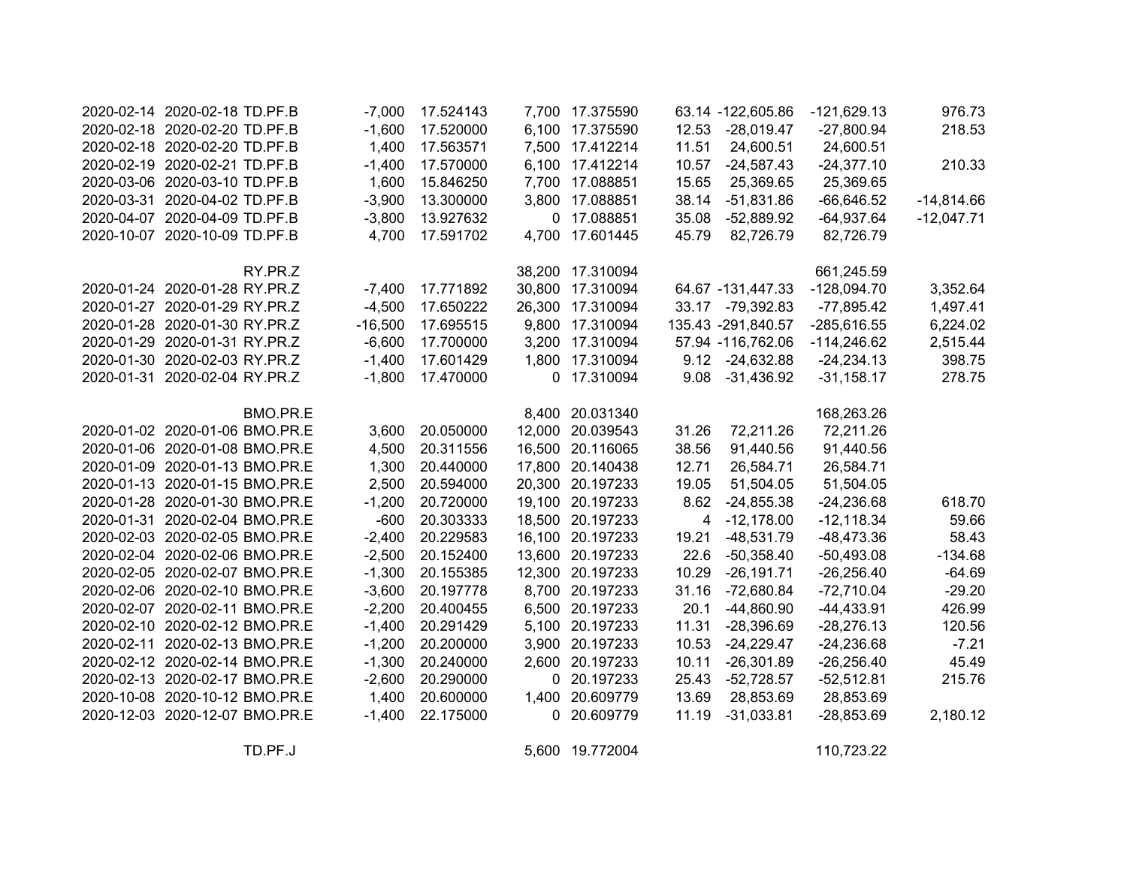| 2020-02-14 2020-02-18 TD.PF.B  |          | $-7,000$  | 17.524143 | 7,700 17.375590  |                | 63.14 -122,605.86  | $-121,629.13$ | 976.73       |
|--------------------------------|----------|-----------|-----------|------------------|----------------|--------------------|---------------|--------------|
| 2020-02-18 2020-02-20 TD.PF.B  |          | $-1,600$  | 17.520000 | 6,100 17.375590  |                | 12.53 -28,019.47   | $-27,800.94$  | 218.53       |
| 2020-02-18 2020-02-20 TD.PF.B  |          | 1,400     | 17.563571 | 7,500 17.412214  | 11.51          | 24,600.51          | 24,600.51     |              |
| 2020-02-19 2020-02-21 TD.PF.B  |          | $-1,400$  | 17.570000 | 6,100 17.412214  | 10.57          | $-24,587.43$       | $-24,377.10$  | 210.33       |
| 2020-03-06 2020-03-10 TD.PF.B  |          | 1,600     | 15.846250 | 7,700 17.088851  | 15.65          | 25,369.65          | 25,369.65     |              |
| 2020-03-31 2020-04-02 TD.PF.B  |          | $-3,900$  | 13.300000 | 3,800 17.088851  | 38.14          | $-51,831.86$       | $-66,646.52$  | $-14,814.66$ |
| 2020-04-07 2020-04-09 TD.PF.B  |          | $-3,800$  | 13.927632 | 0 17.088851      | 35.08          | -52,889.92         | $-64,937.64$  | $-12,047.71$ |
| 2020-10-07 2020-10-09 TD.PF.B  |          | 4,700     | 17.591702 | 4,700 17.601445  | 45.79          | 82,726.79          | 82,726.79     |              |
|                                | RY.PR.Z  |           |           | 38,200 17.310094 |                |                    | 661,245.59    |              |
| 2020-01-24 2020-01-28 RY.PR.Z  |          | $-7,400$  | 17.771892 | 30,800 17.310094 |                | 64.67 -131,447.33  | $-128,094.70$ | 3,352.64     |
| 2020-01-27 2020-01-29 RY.PR.Z  |          | $-4,500$  | 17.650222 | 26,300 17.310094 |                | 33.17 -79,392.83   | $-77,895.42$  | 1,497.41     |
| 2020-01-28 2020-01-30 RY.PR.Z  |          | $-16,500$ | 17.695515 | 9,800 17.310094  |                | 135.43 -291,840.57 | -285,616.55   | 6,224.02     |
| 2020-01-29 2020-01-31 RY.PR.Z  |          | $-6,600$  | 17.700000 | 3,200 17.310094  |                | 57.94 -116,762.06  | $-114,246.62$ | 2,515.44     |
| 2020-01-30 2020-02-03 RY.PR.Z  |          | $-1,400$  | 17.601429 | 1,800 17.310094  |                | 9.12 -24,632.88    | $-24,234.13$  | 398.75       |
| 2020-01-31 2020-02-04 RY.PR.Z  |          | $-1,800$  | 17.470000 | 0 17.310094      | 9.08           | $-31,436.92$       | $-31,158.17$  | 278.75       |
|                                | BMO.PR.E |           |           | 8,400 20.031340  |                |                    | 168,263.26    |              |
| 2020-01-02 2020-01-06 BMO.PR.E |          | 3,600     | 20.050000 | 12,000 20.039543 | 31.26          | 72,211.26          | 72,211.26     |              |
| 2020-01-06 2020-01-08 BMO.PR.E |          | 4,500     | 20.311556 | 16,500 20.116065 | 38.56          | 91,440.56          | 91,440.56     |              |
| 2020-01-09 2020-01-13 BMO.PR.E |          | 1,300     | 20.440000 | 17,800 20.140438 | 12.71          | 26,584.71          | 26,584.71     |              |
| 2020-01-13 2020-01-15 BMO.PR.E |          | 2,500     | 20.594000 | 20,300 20.197233 | 19.05          | 51,504.05          | 51,504.05     |              |
| 2020-01-28 2020-01-30 BMO.PR.E |          | $-1,200$  | 20.720000 | 19,100 20.197233 | 8.62           | $-24,855.38$       | $-24,236.68$  | 618.70       |
| 2020-01-31 2020-02-04 BMO.PR.E |          | $-600$    | 20.303333 | 18,500 20.197233 | $\overline{4}$ | $-12,178.00$       | $-12,118.34$  | 59.66        |
| 2020-02-03 2020-02-05 BMO.PR.E |          | $-2,400$  | 20.229583 | 16,100 20.197233 | 19.21          | $-48,531.79$       | $-48,473.36$  | 58.43        |
| 2020-02-04 2020-02-06 BMO.PR.E |          | $-2,500$  | 20.152400 | 13,600 20.197233 | 22.6           | $-50,358.40$       | $-50,493.08$  | $-134.68$    |
| 2020-02-05 2020-02-07 BMO.PR.E |          | $-1,300$  | 20.155385 | 12,300 20.197233 | 10.29          | $-26,191.71$       | $-26,256.40$  | $-64.69$     |
| 2020-02-06 2020-02-10 BMO.PR.E |          | $-3,600$  | 20.197778 | 8,700 20.197233  | 31.16          | $-72,680.84$       | $-72,710.04$  | $-29.20$     |
| 2020-02-07 2020-02-11 BMO.PR.E |          | $-2,200$  | 20.400455 | 6,500 20.197233  | 20.1           | $-44,860.90$       | $-44,433.91$  | 426.99       |
| 2020-02-10 2020-02-12 BMO.PR.E |          | $-1,400$  | 20.291429 | 5,100 20.197233  | 11.31          | $-28,396.69$       | $-28,276.13$  | 120.56       |
| 2020-02-11 2020-02-13 BMO.PR.E |          | $-1,200$  | 20.200000 | 3,900 20.197233  | 10.53          | $-24,229.47$       | $-24,236.68$  | $-7.21$      |
| 2020-02-12 2020-02-14 BMO.PR.E |          | $-1,300$  | 20.240000 | 2,600 20.197233  | 10.11          | $-26,301.89$       | $-26,256.40$  | 45.49        |
| 2020-02-13 2020-02-17 BMO.PR.E |          | $-2,600$  | 20.290000 | 0 20.197233      | 25.43          | $-52,728.57$       | $-52,512.81$  | 215.76       |
| 2020-10-08 2020-10-12 BMO.PR.E |          | 1,400     | 20.600000 | 1,400 20.609779  | 13.69          | 28,853.69          | 28,853.69     |              |
| 2020-12-03 2020-12-07 BMO.PR.E |          | $-1,400$  | 22.175000 | 0 20.609779      | 11.19          | $-31,033.81$       | $-28,853.69$  | 2,180.12     |

TD.PF.J 5,600 19.772004 110,723.22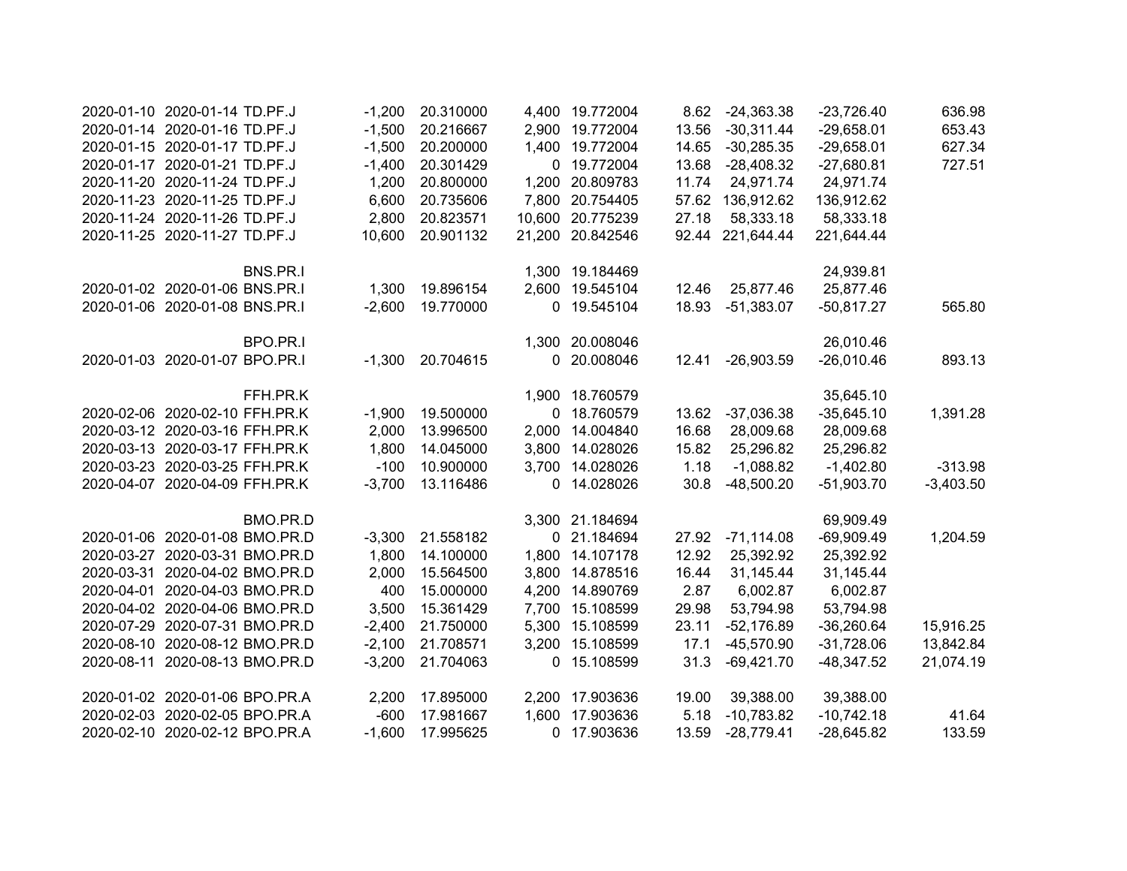| 2020-01-10 2020-01-14 TD.PF.J  | $-1,200$ | 20.310000 |       | 4,400 19.772004  |       | 8.62 -24,363.38  | $-23,726.40$ | 636.98      |
|--------------------------------|----------|-----------|-------|------------------|-------|------------------|--------------|-------------|
| 2020-01-14 2020-01-16 TD.PF.J  | $-1,500$ | 20.216667 |       | 2,900 19.772004  | 13.56 | $-30,311.44$     | $-29,658.01$ | 653.43      |
| 2020-01-15 2020-01-17 TD.PF.J  | $-1,500$ | 20.200000 |       | 1,400 19.772004  | 14.65 | $-30,285.35$     | $-29,658.01$ | 627.34      |
| 2020-01-17 2020-01-21 TD.PF.J  | $-1,400$ | 20.301429 |       | 0 19.772004      | 13.68 | $-28,408.32$     | $-27,680.81$ | 727.51      |
| 2020-11-20 2020-11-24 TD.PF.J  | 1,200    | 20.800000 |       | 1,200 20.809783  | 11.74 | 24,971.74        | 24,971.74    |             |
| 2020-11-23 2020-11-25 TD.PF.J  | 6,600    | 20.735606 |       | 7,800 20.754405  |       | 57.62 136,912.62 | 136,912.62   |             |
| 2020-11-24 2020-11-26 TD.PF.J  | 2,800    | 20.823571 |       | 10,600 20.775239 | 27.18 | 58,333.18        | 58,333.18    |             |
| 2020-11-25 2020-11-27 TD.PF.J  | 10,600   | 20.901132 |       | 21,200 20.842546 |       | 92.44 221,644.44 | 221,644.44   |             |
| BNS.PR.I                       |          |           |       | 1,300 19.184469  |       |                  | 24,939.81    |             |
| 2020-01-02 2020-01-06 BNS.PR.I | 1,300    | 19.896154 |       | 2,600 19.545104  | 12.46 | 25,877.46        | 25,877.46    |             |
| 2020-01-06 2020-01-08 BNS.PR.I | $-2,600$ | 19.770000 |       | 0 19.545104      | 18.93 | $-51,383.07$     | $-50,817.27$ | 565.80      |
| BPO.PR.I                       |          |           |       | 1,300 20.008046  |       |                  | 26,010.46    |             |
| 2020-01-03 2020-01-07 BPO.PR.I | $-1,300$ | 20.704615 |       | 0 20.008046      | 12.41 | $-26,903.59$     | $-26,010.46$ | 893.13      |
| FFH.PR.K                       |          |           |       | 1,900 18.760579  |       |                  | 35,645.10    |             |
| 2020-02-06 2020-02-10 FFH.PR.K | $-1,900$ | 19.500000 |       | 0 18.760579      | 13.62 | $-37,036.38$     | $-35,645.10$ | 1,391.28    |
| 2020-03-12 2020-03-16 FFH.PR.K | 2,000    | 13.996500 | 2,000 | 14.004840        | 16.68 | 28,009.68        | 28,009.68    |             |
| 2020-03-13 2020-03-17 FFH.PR.K | 1,800    | 14.045000 |       | 3,800 14.028026  | 15.82 | 25,296.82        | 25,296.82    |             |
| 2020-03-23 2020-03-25 FFH.PR.K | $-100$   | 10.900000 |       | 3,700 14.028026  | 1.18  | $-1,088.82$      | $-1,402.80$  | $-313.98$   |
| 2020-04-07 2020-04-09 FFH.PR.K | $-3,700$ | 13.116486 |       | 0 14.028026      | 30.8  | $-48,500.20$     | $-51,903.70$ | $-3,403.50$ |
| BMO.PR.D                       |          |           |       | 3,300 21.184694  |       |                  | 69,909.49    |             |
| 2020-01-06 2020-01-08 BMO.PR.D | $-3,300$ | 21.558182 |       | 0 21.184694      | 27.92 | $-71,114.08$     | $-69,909.49$ | 1,204.59    |
| 2020-03-27 2020-03-31 BMO.PR.D | 1,800    | 14.100000 |       | 1,800 14.107178  | 12.92 | 25,392.92        | 25,392.92    |             |
| 2020-03-31 2020-04-02 BMO.PR.D | 2,000    | 15.564500 |       | 3,800 14.878516  | 16.44 | 31,145.44        | 31,145.44    |             |
| 2020-04-01 2020-04-03 BMO.PR.D | 400      | 15.000000 |       | 4,200 14.890769  | 2.87  | 6,002.87         | 6,002.87     |             |
| 2020-04-02 2020-04-06 BMO.PR.D | 3,500    | 15.361429 |       | 7,700 15.108599  | 29.98 | 53,794.98        | 53,794.98    |             |
| 2020-07-29 2020-07-31 BMO.PR.D | $-2,400$ | 21.750000 |       | 5,300 15.108599  | 23.11 | $-52,176.89$     | $-36,260.64$ | 15,916.25   |
| 2020-08-10 2020-08-12 BMO.PR.D | $-2,100$ | 21.708571 |       | 3,200 15.108599  | 17.1  | -45,570.90       | $-31,728.06$ | 13,842.84   |
| 2020-08-11 2020-08-13 BMO.PR.D | $-3,200$ | 21.704063 |       | 0 15.108599      | 31.3  | $-69,421.70$     | $-48,347.52$ | 21,074.19   |
| 2020-01-02 2020-01-06 BPO.PR.A | 2,200    | 17.895000 | 2,200 | 17.903636        | 19.00 | 39,388.00        | 39,388.00    |             |
| 2020-02-03 2020-02-05 BPO.PR.A | $-600$   | 17.981667 | 1,600 | 17.903636        | 5.18  | $-10,783.82$     | $-10,742.18$ | 41.64       |
| 2020-02-10 2020-02-12 BPO.PR.A | $-1,600$ | 17.995625 |       | 0 17.903636      | 13.59 | $-28,779.41$     | $-28,645.82$ | 133.59      |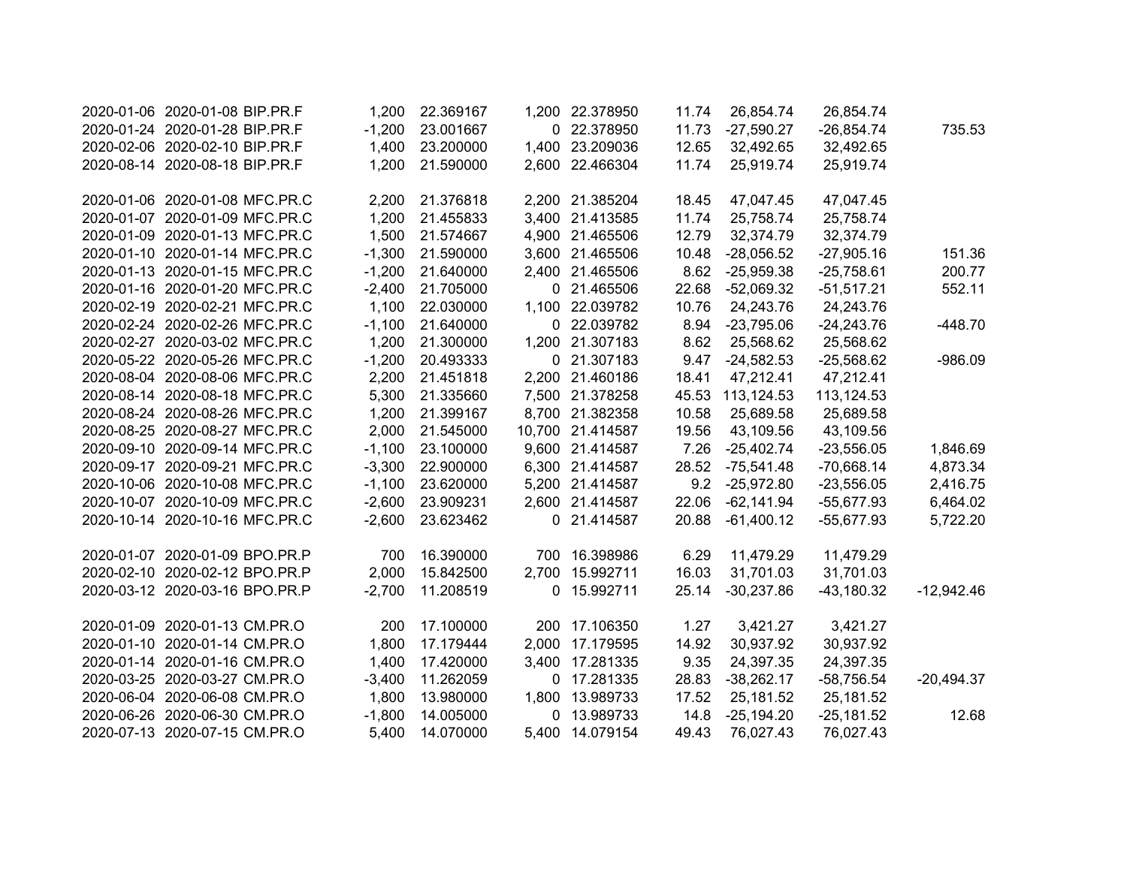| 2020-01-06 2020-01-08 BIP.PR.F | 1,200    | 22.369167 |             | 1,200 22.378950  | 11.74 | 26,854.74    | 26,854.74    |              |
|--------------------------------|----------|-----------|-------------|------------------|-------|--------------|--------------|--------------|
| 2020-01-24 2020-01-28 BIP.PR.F | $-1,200$ | 23.001667 |             | 0 22.378950      | 11.73 | $-27,590.27$ | $-26,854.74$ | 735.53       |
| 2020-02-06 2020-02-10 BIP.PR.F | 1,400    | 23.200000 |             | 1,400 23.209036  | 12.65 | 32,492.65    | 32,492.65    |              |
| 2020-08-14 2020-08-18 BIP.PR.F | 1,200    | 21.590000 |             | 2,600 22.466304  | 11.74 | 25,919.74    | 25,919.74    |              |
|                                |          |           |             |                  |       |              |              |              |
| 2020-01-06 2020-01-08 MFC.PR.C | 2,200    | 21.376818 |             | 2,200 21.385204  | 18.45 | 47,047.45    | 47,047.45    |              |
| 2020-01-07 2020-01-09 MFC.PR.C | 1,200    | 21.455833 |             | 3,400 21.413585  | 11.74 | 25,758.74    | 25,758.74    |              |
| 2020-01-09 2020-01-13 MFC.PR.C | 1,500    | 21.574667 |             | 4,900 21.465506  | 12.79 | 32,374.79    | 32,374.79    |              |
| 2020-01-10 2020-01-14 MFC.PR.C | $-1,300$ | 21.590000 |             | 3,600 21.465506  | 10.48 | $-28,056.52$ | $-27,905.16$ | 151.36       |
| 2020-01-13 2020-01-15 MFC.PR.C | $-1,200$ | 21.640000 |             | 2,400 21.465506  | 8.62  | $-25,959.38$ | $-25,758.61$ | 200.77       |
| 2020-01-16 2020-01-20 MFC.PR.C | $-2,400$ | 21.705000 |             | 0 21.465506      | 22.68 | $-52,069.32$ | $-51,517.21$ | 552.11       |
| 2020-02-19 2020-02-21 MFC.PR.C | 1,100    | 22.030000 |             | 1,100 22.039782  | 10.76 | 24,243.76    | 24,243.76    |              |
| 2020-02-24 2020-02-26 MFC.PR.C | $-1,100$ | 21.640000 |             | 0 22.039782      | 8.94  | $-23,795.06$ | $-24,243.76$ | $-448.70$    |
| 2020-02-27 2020-03-02 MFC.PR.C | 1,200    | 21.300000 |             | 1,200 21.307183  | 8.62  | 25,568.62    | 25,568.62    |              |
| 2020-05-22 2020-05-26 MFC.PR.C | $-1,200$ | 20.493333 |             | 0 21.307183      | 9.47  | $-24,582.53$ | $-25,568.62$ | $-986.09$    |
| 2020-08-04 2020-08-06 MFC.PR.C | 2,200    | 21.451818 |             | 2,200 21.460186  | 18.41 | 47,212.41    | 47,212.41    |              |
| 2020-08-14 2020-08-18 MFC.PR.C | 5,300    | 21.335660 |             | 7,500 21.378258  | 45.53 | 113,124.53   | 113,124.53   |              |
| 2020-08-24 2020-08-26 MFC.PR.C | 1,200    | 21.399167 |             | 8,700 21.382358  | 10.58 | 25,689.58    | 25,689.58    |              |
| 2020-08-25 2020-08-27 MFC.PR.C | 2,000    | 21.545000 |             | 10,700 21.414587 | 19.56 | 43,109.56    | 43,109.56    |              |
| 2020-09-10 2020-09-14 MFC.PR.C | $-1,100$ | 23.100000 |             | 9,600 21.414587  | 7.26  | $-25,402.74$ | $-23,556.05$ | 1,846.69     |
| 2020-09-17 2020-09-21 MFC.PR.C | $-3,300$ | 22.900000 |             | 6,300 21.414587  | 28.52 | $-75,541.48$ | $-70,668.14$ | 4,873.34     |
| 2020-10-06 2020-10-08 MFC.PR.C | $-1,100$ | 23.620000 |             | 5,200 21.414587  | 9.2   | $-25,972.80$ | $-23,556.05$ | 2,416.75     |
| 2020-10-07 2020-10-09 MFC.PR.C | $-2,600$ | 23.909231 |             | 2,600 21.414587  | 22.06 | $-62,141.94$ | $-55,677.93$ | 6,464.02     |
| 2020-10-14 2020-10-16 MFC.PR.C | $-2,600$ | 23.623462 |             | 0 21.414587      | 20.88 | $-61,400.12$ | $-55,677.93$ | 5,722.20     |
|                                |          |           |             |                  |       |              |              |              |
| 2020-01-07 2020-01-09 BPO.PR.P | 700      | 16.390000 | 700         | 16.398986        | 6.29  | 11,479.29    | 11,479.29    |              |
| 2020-02-10 2020-02-12 BPO.PR.P | 2,000    | 15.842500 | 2,700       | 15.992711        | 16.03 | 31,701.03    | 31,701.03    |              |
| 2020-03-12 2020-03-16 BPO.PR.P | $-2,700$ | 11.208519 |             | 0 15.992711      | 25.14 | $-30,237.86$ | $-43,180.32$ | $-12,942.46$ |
| 2020-01-09 2020-01-13 CM.PR.O  | 200      | 17.100000 |             | 200 17.106350    | 1.27  | 3,421.27     | 3,421.27     |              |
| 2020-01-10 2020-01-14 CM.PR.O  | 1,800    | 17.179444 |             | 2,000 17.179595  | 14.92 | 30,937.92    | 30,937.92    |              |
| 2020-01-14 2020-01-16 CM.PR.O  | 1,400    | 17.420000 |             | 3,400 17.281335  | 9.35  | 24,397.35    | 24,397.35    |              |
| 2020-03-25 2020-03-27 CM.PR.O  | $-3,400$ | 11.262059 | 0           | 17.281335        | 28.83 | $-38,262.17$ | $-58,756.54$ | $-20,494.37$ |
| 2020-06-04 2020-06-08 CM.PR.O  | 1,800    | 13.980000 | 1,800       | 13.989733        | 17.52 | 25,181.52    | 25,181.52    |              |
| 2020-06-26 2020-06-30 CM.PR.O  | $-1,800$ | 14.005000 | $\mathbf 0$ | 13.989733        | 14.8  | $-25,194.20$ | $-25,181.52$ | 12.68        |
| 2020-07-13 2020-07-15 CM.PR.O  | 5,400    | 14.070000 |             | 5,400 14.079154  | 49.43 | 76,027.43    | 76,027.43    |              |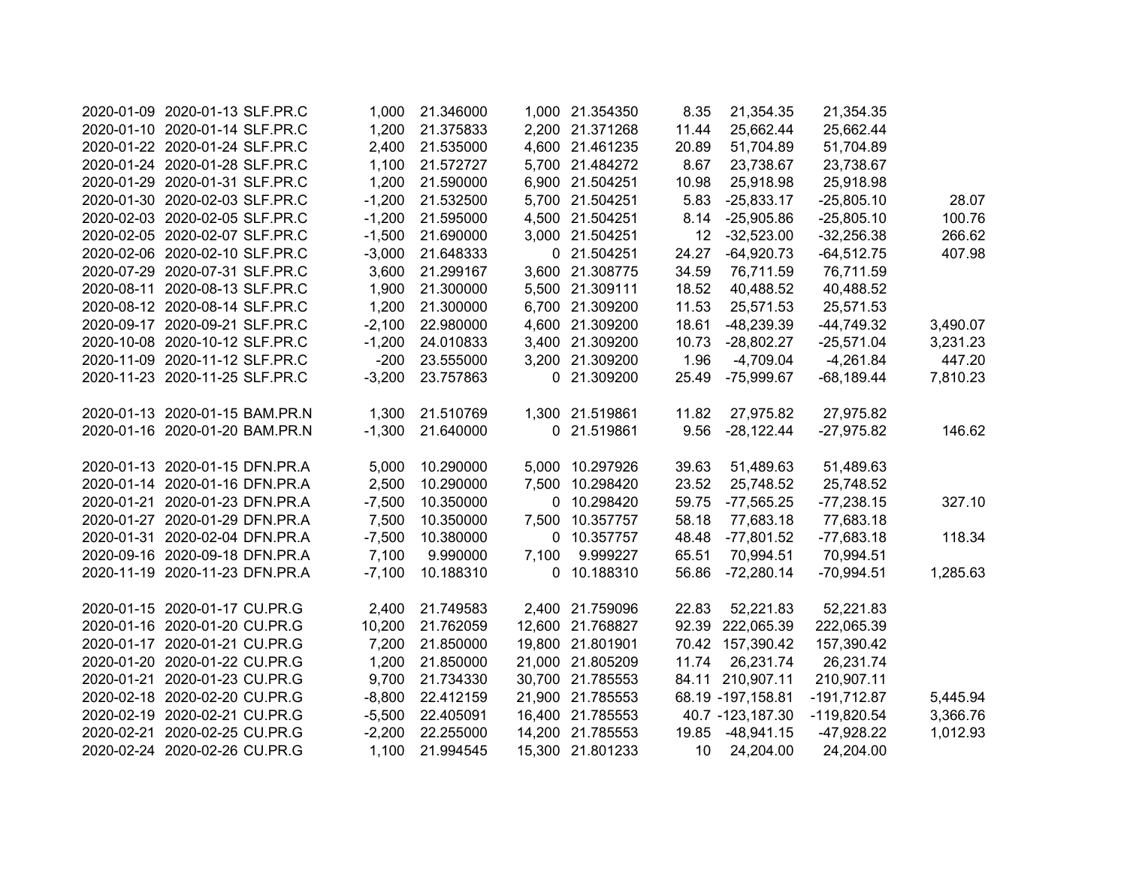| 2020-01-09 2020-01-13 SLF.PR.C                                 | 1,000    | 21.346000 |       | 1,000 21.354350  | 8.35            | 21,354.35         | 21,354.35     |          |
|----------------------------------------------------------------|----------|-----------|-------|------------------|-----------------|-------------------|---------------|----------|
| 2020-01-10 2020-01-14 SLF.PR.C                                 | 1,200    | 21.375833 |       | 2,200 21.371268  | 11.44           | 25,662.44         | 25,662.44     |          |
| 2020-01-22 2020-01-24 SLF.PR.C                                 | 2,400    | 21.535000 |       | 4,600 21.461235  | 20.89           | 51,704.89         | 51,704.89     |          |
| 2020-01-24 2020-01-28 SLF.PR.C                                 | 1,100    | 21.572727 |       | 5,700 21.484272  | 8.67            | 23,738.67         | 23,738.67     |          |
| 2020-01-29 2020-01-31 SLF.PR.C                                 | 1,200    | 21.590000 |       | 6,900 21.504251  | 10.98           | 25,918.98         | 25,918.98     |          |
| 2020-01-30 2020-02-03 SLF.PR.C                                 | $-1,200$ | 21.532500 |       | 5,700 21.504251  | 5.83            | $-25,833.17$      | $-25,805.10$  | 28.07    |
| 2020-02-03 2020-02-05 SLF.PR.C                                 | $-1,200$ | 21.595000 |       | 4,500 21.504251  | 8.14            | $-25,905.86$      | $-25,805.10$  | 100.76   |
| 2020-02-05 2020-02-07 SLF.PR.C                                 | $-1,500$ | 21.690000 |       | 3,000 21.504251  | 12              | $-32,523.00$      | $-32,256.38$  | 266.62   |
| 2020-02-06 2020-02-10 SLF.PR.C                                 | $-3,000$ | 21.648333 |       | 0 21.504251      | 24.27           | $-64,920.73$      | $-64,512.75$  | 407.98   |
| 2020-07-29 2020-07-31 SLF.PR.C                                 | 3,600    | 21.299167 |       | 3,600 21.308775  | 34.59           | 76,711.59         | 76,711.59     |          |
| 2020-08-11 2020-08-13 SLF.PR.C                                 | 1,900    | 21.300000 |       | 5,500 21.309111  | 18.52           | 40,488.52         | 40,488.52     |          |
| 2020-08-12 2020-08-14 SLF.PR.C                                 | 1,200    | 21.300000 |       | 6,700 21.309200  | 11.53           | 25,571.53         | 25,571.53     |          |
| 2020-09-17 2020-09-21 SLF.PR.C                                 | $-2,100$ | 22.980000 |       | 4,600 21.309200  | 18.61           | -48,239.39        | $-44,749.32$  | 3,490.07 |
| 2020-10-08 2020-10-12 SLF.PR.C                                 | $-1,200$ | 24.010833 |       | 3,400 21.309200  | 10.73           | $-28,802.27$      | $-25,571.04$  | 3,231.23 |
| 2020-11-09 2020-11-12 SLF.PR.C                                 | $-200$   | 23.555000 |       | 3,200 21.309200  | 1.96            | $-4,709.04$       | $-4,261.84$   | 447.20   |
| 2020-11-23 2020-11-25 SLF.PR.C                                 | $-3,200$ | 23.757863 |       | 0 21.309200      | 25.49           | $-75,999.67$      | $-68,189.44$  | 7,810.23 |
|                                                                |          |           |       |                  |                 |                   |               |          |
| 2020-01-13 2020-01-15 BAM.PR.N                                 | 1,300    | 21.510769 |       | 1,300 21.519861  | 11.82           | 27,975.82         | 27,975.82     |          |
| 2020-01-16 2020-01-20 BAM.PR.N                                 | $-1,300$ | 21.640000 |       | 0 21.519861      | 9.56            | $-28,122.44$      | $-27,975.82$  | 146.62   |
| 2020-01-13 2020-01-15 DFN.PR.A                                 | 5,000    | 10.290000 |       | 5,000 10.297926  | 39.63           | 51,489.63         | 51,489.63     |          |
| 2020-01-14 2020-01-16 DFN.PR.A                                 | 2,500    | 10.290000 |       | 7,500 10.298420  | 23.52           | 25,748.52         | 25,748.52     |          |
| 2020-01-21 2020-01-23 DFN.PR.A                                 | $-7,500$ | 10.350000 |       | 0 10.298420      | 59.75           | $-77,565.25$      | $-77,238.15$  | 327.10   |
| 2020-01-27 2020-01-29 DFN.PR.A                                 | 7,500    | 10.350000 |       | 7,500 10.357757  | 58.18           | 77,683.18         | 77,683.18     |          |
| 2020-01-31 2020-02-04 DFN.PR.A                                 | $-7,500$ | 10.380000 |       | 0 10.357757      | 48.48           | $-77,801.52$      | $-77,683.18$  | 118.34   |
| 2020-09-16 2020-09-18 DFN.PR.A                                 | 7,100    | 9.990000  | 7,100 | 9.999227         | 65.51           | 70,994.51         | 70,994.51     |          |
| 2020-11-19 2020-11-23 DFN.PR.A                                 | $-7,100$ | 10.188310 |       | 0 10.188310      | 56.86           | $-72,280.14$      | $-70,994.51$  | 1,285.63 |
|                                                                |          |           |       |                  |                 |                   |               |          |
| 2020-01-15 2020-01-17 CU.PR.G                                  | 2,400    | 21.749583 |       | 2,400 21.759096  | 22.83           | 52,221.83         | 52,221.83     |          |
| 2020-01-16 2020-01-20 CU.PR.G                                  | 10,200   | 21.762059 |       | 12,600 21.768827 |                 | 92.39 222,065.39  | 222,065.39    |          |
| 2020-01-17 2020-01-21 CU.PR.G                                  | 7,200    | 21.850000 |       | 19,800 21.801901 |                 | 70.42 157,390.42  | 157,390.42    |          |
| 2020-01-20 2020-01-22 CU.PR.G                                  | 1,200    | 21.850000 |       | 21,000 21.805209 | 11.74           | 26,231.74         | 26,231.74     |          |
| 2020-01-21 2020-01-23 CU.PR.G                                  | 9,700    | 21.734330 |       | 30,700 21.785553 |                 | 84.11 210,907.11  | 210,907.11    |          |
| 2020-02-18 2020-02-20 CU.PR.G<br>2020-02-19 2020-02-21 CU.PR.G | $-8,800$ | 22.412159 |       | 21,900 21.785553 |                 | 68.19 -197,158.81 | $-191,712.87$ | 5,445.94 |
|                                                                | $-5,500$ | 22.405091 |       | 16,400 21.785553 |                 | 40.7 -123,187.30  | -119,820.54   | 3,366.76 |
| 2020-02-21 2020-02-25 CU.PR.G                                  | $-2,200$ | 22.255000 |       | 14,200 21.785553 | 19.85           | $-48,941.15$      | $-47,928.22$  | 1,012.93 |
| 2020-02-24 2020-02-26 CU.PR.G                                  | 1.100    | 21.994545 |       | 15,300 21.801233 | 10 <sup>°</sup> | 24,204.00         | 24,204.00     |          |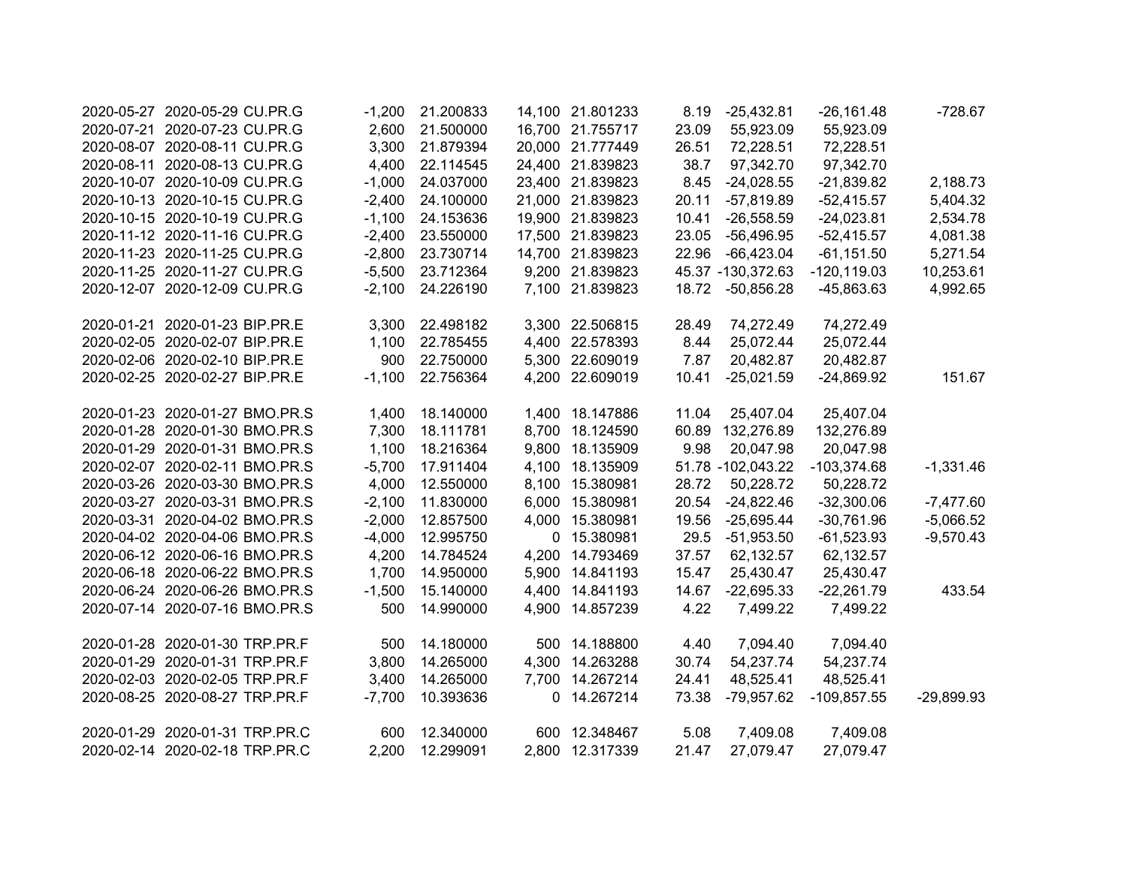| 2020-05-27 2020-05-29 CU.PR.G  | $-1,200$ | 21.200833 | 14,100 21.801233 | 8.19  | $-25,432.81$      | $-26,161.48$   | $-728.67$    |
|--------------------------------|----------|-----------|------------------|-------|-------------------|----------------|--------------|
| 2020-07-21 2020-07-23 CU.PR.G  | 2,600    | 21.500000 | 16,700 21.755717 | 23.09 | 55,923.09         | 55,923.09      |              |
| 2020-08-07 2020-08-11 CU.PR.G  | 3,300    | 21.879394 | 20,000 21.777449 | 26.51 | 72,228.51         | 72,228.51      |              |
| 2020-08-11 2020-08-13 CU.PR.G  | 4,400    | 22.114545 | 24,400 21.839823 | 38.7  | 97,342.70         | 97,342.70      |              |
| 2020-10-07 2020-10-09 CU.PR.G  | $-1,000$ | 24.037000 | 23,400 21.839823 | 8.45  | $-24,028.55$      | $-21,839.82$   | 2,188.73     |
| 2020-10-13 2020-10-15 CU.PR.G  | $-2,400$ | 24.100000 | 21,000 21.839823 | 20.11 | $-57,819.89$      | $-52,415.57$   | 5,404.32     |
| 2020-10-15 2020-10-19 CU.PR.G  | $-1,100$ | 24.153636 | 19,900 21.839823 | 10.41 | $-26,558.59$      | $-24,023.81$   | 2,534.78     |
| 2020-11-12 2020-11-16 CU.PR.G  | $-2,400$ | 23.550000 | 17,500 21.839823 | 23.05 | $-56,496.95$      | $-52,415.57$   | 4,081.38     |
| 2020-11-23 2020-11-25 CU.PR.G  | $-2,800$ | 23.730714 | 14,700 21.839823 | 22.96 | $-66,423.04$      | $-61, 151.50$  | 5,271.54     |
| 2020-11-25 2020-11-27 CU.PR.G  | $-5,500$ | 23.712364 | 9,200 21.839823  |       | 45.37 -130,372.63 | $-120, 119.03$ | 10,253.61    |
| 2020-12-07 2020-12-09 CU.PR.G  | $-2,100$ | 24.226190 | 7,100 21.839823  | 18.72 | $-50,856.28$      | $-45,863.63$   | 4,992.65     |
| 2020-01-21 2020-01-23 BIP.PR.E | 3,300    | 22.498182 | 3,300 22.506815  | 28.49 | 74,272.49         | 74,272.49      |              |
| 2020-02-05 2020-02-07 BIP.PR.E | 1,100    | 22.785455 | 4,400 22.578393  | 8.44  | 25,072.44         | 25,072.44      |              |
| 2020-02-06 2020-02-10 BIP.PR.E | 900      | 22.750000 | 5,300 22.609019  | 7.87  | 20,482.87         | 20,482.87      |              |
| 2020-02-25 2020-02-27 BIP.PR.E | $-1,100$ | 22.756364 | 4,200 22.609019  | 10.41 | $-25,021.59$      | $-24,869.92$   | 151.67       |
| 2020-01-23 2020-01-27 BMO.PR.S | 1,400    | 18.140000 | 1,400 18.147886  | 11.04 | 25,407.04         | 25,407.04      |              |
| 2020-01-28 2020-01-30 BMO.PR.S | 7,300    | 18.111781 | 8,700 18.124590  | 60.89 | 132,276.89        | 132,276.89     |              |
| 2020-01-29 2020-01-31 BMO.PR.S | 1,100    | 18.216364 | 9,800 18.135909  | 9.98  | 20,047.98         | 20,047.98      |              |
| 2020-02-07 2020-02-11 BMO.PR.S | $-5,700$ | 17.911404 | 4,100 18.135909  |       | 51.78 -102,043.22 | $-103,374.68$  | $-1,331.46$  |
| 2020-03-26 2020-03-30 BMO.PR.S | 4,000    | 12.550000 | 8,100 15.380981  | 28.72 | 50,228.72         | 50,228.72      |              |
| 2020-03-27 2020-03-31 BMO.PR.S | $-2,100$ | 11.830000 | 6,000 15.380981  | 20.54 | $-24,822.46$      | $-32,300.06$   | $-7,477.60$  |
| 2020-03-31 2020-04-02 BMO.PR.S | $-2,000$ | 12.857500 | 4,000 15.380981  | 19.56 | $-25,695.44$      | $-30,761.96$   | $-5,066.52$  |
| 2020-04-02 2020-04-06 BMO.PR.S | $-4,000$ | 12.995750 | 0 15.380981      | 29.5  | $-51,953.50$      | $-61,523.93$   | $-9,570.43$  |
| 2020-06-12 2020-06-16 BMO.PR.S | 4,200    | 14.784524 | 4,200 14.793469  | 37.57 | 62,132.57         | 62,132.57      |              |
| 2020-06-18 2020-06-22 BMO.PR.S | 1,700    | 14.950000 | 5,900 14.841193  | 15.47 | 25,430.47         | 25,430.47      |              |
| 2020-06-24 2020-06-26 BMO.PR.S | $-1,500$ | 15.140000 | 4,400 14.841193  | 14.67 | $-22,695.33$      | $-22,261.79$   | 433.54       |
| 2020-07-14 2020-07-16 BMO.PR.S | 500      | 14.990000 | 4,900 14.857239  | 4.22  | 7,499.22          | 7,499.22       |              |
| 2020-01-28 2020-01-30 TRP.PR.F | 500      | 14.180000 | 500 14.188800    | 4.40  | 7,094.40          | 7,094.40       |              |
| 2020-01-29 2020-01-31 TRP.PR.F | 3,800    | 14.265000 | 4,300 14.263288  | 30.74 | 54,237.74         | 54,237.74      |              |
| 2020-02-03 2020-02-05 TRP.PR.F | 3,400    | 14.265000 | 7,700 14.267214  | 24.41 | 48,525.41         | 48,525.41      |              |
| 2020-08-25 2020-08-27 TRP.PR.F | $-7,700$ | 10.393636 | 0 14.267214      | 73.38 | $-79,957.62$      | $-109,857.55$  | $-29,899.93$ |
| 2020-01-29 2020-01-31 TRP.PR.C | 600      | 12.340000 | 600 12.348467    | 5.08  | 7,409.08          | 7,409.08       |              |
| 2020-02-14 2020-02-18 TRP.PR.C | 2,200    | 12.299091 | 2,800 12.317339  | 21.47 | 27,079.47         | 27,079.47      |              |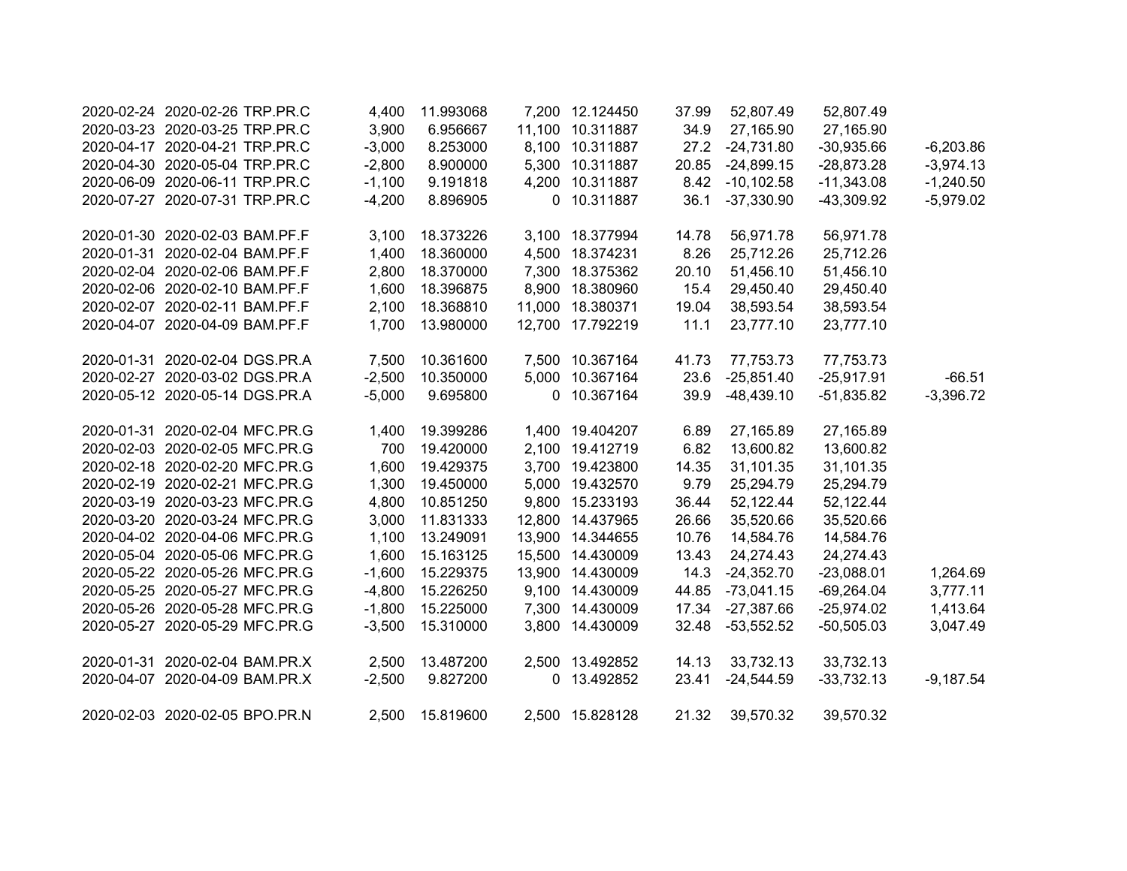|            | 2020-02-24 2020-02-26 TRP.PR.C | 4,400    | 11.993068 |        | 7,200 12.124450  | 37.99 | 52,807.49     | 52,807.49    |             |
|------------|--------------------------------|----------|-----------|--------|------------------|-------|---------------|--------------|-------------|
|            | 2020-03-23 2020-03-25 TRP.PR.C | 3,900    | 6.956667  |        | 11,100 10.311887 | 34.9  | 27,165.90     | 27,165.90    |             |
|            | 2020-04-17 2020-04-21 TRP.PR.C | $-3,000$ | 8.253000  |        | 8,100 10.311887  | 27.2  | $-24,731.80$  | $-30,935.66$ | $-6,203.86$ |
|            | 2020-04-30 2020-05-04 TRP.PR.C | $-2,800$ | 8.900000  |        | 5,300 10.311887  | 20.85 | $-24,899.15$  | $-28,873.28$ | $-3,974.13$ |
|            | 2020-06-09 2020-06-11 TRP.PR.C | $-1,100$ | 9.191818  |        | 4,200 10.311887  | 8.42  | $-10, 102.58$ | $-11,343.08$ | $-1,240.50$ |
|            | 2020-07-27 2020-07-31 TRP.PR.C | $-4,200$ | 8.896905  |        | 0 10.311887      | 36.1  | $-37,330.90$  | -43,309.92   | $-5,979.02$ |
|            | 2020-01-30 2020-02-03 BAM.PF.F | 3,100    | 18.373226 |        | 3,100 18.377994  | 14.78 | 56,971.78     | 56,971.78    |             |
|            | 2020-01-31 2020-02-04 BAM.PF.F | 1,400    | 18.360000 |        | 4,500 18.374231  | 8.26  | 25,712.26     | 25,712.26    |             |
|            | 2020-02-04 2020-02-06 BAM.PF.F | 2,800    | 18.370000 | 7,300  | 18.375362        | 20.10 | 51,456.10     | 51,456.10    |             |
|            | 2020-02-06 2020-02-10 BAM.PF.F | 1,600    | 18.396875 | 8,900  | 18.380960        | 15.4  | 29,450.40     | 29,450.40    |             |
|            | 2020-02-07 2020-02-11 BAM.PF.F | 2,100    | 18.368810 | 11,000 | 18.380371        | 19.04 | 38,593.54     | 38,593.54    |             |
|            | 2020-04-07 2020-04-09 BAM.PF.F | 1,700    | 13.980000 | 12,700 | 17.792219        | 11.1  | 23,777.10     | 23,777.10    |             |
| 2020-01-31 | 2020-02-04 DGS.PR.A            | 7,500    | 10.361600 |        | 7,500 10.367164  | 41.73 | 77,753.73     | 77,753.73    |             |
|            | 2020-02-27 2020-03-02 DGS.PR.A | $-2,500$ | 10.350000 |        | 5,000 10.367164  | 23.6  | $-25,851.40$  | $-25,917.91$ | $-66.51$    |
|            | 2020-05-12 2020-05-14 DGS.PR.A | $-5,000$ | 9.695800  |        | 0 10.367164      | 39.9  | $-48,439.10$  | $-51,835.82$ | $-3,396.72$ |
|            | 2020-01-31 2020-02-04 MFC.PR.G | 1,400    | 19.399286 |        | 1,400 19.404207  | 6.89  | 27,165.89     | 27,165.89    |             |
|            | 2020-02-03 2020-02-05 MFC.PR.G | 700      | 19.420000 |        | 2,100 19.412719  | 6.82  | 13,600.82     | 13,600.82    |             |
|            | 2020-02-18 2020-02-20 MFC.PR.G | 1,600    | 19.429375 |        | 3,700 19.423800  | 14.35 | 31,101.35     | 31,101.35    |             |
|            | 2020-02-19 2020-02-21 MFC.PR.G | 1,300    | 19.450000 |        | 5,000 19.432570  | 9.79  | 25,294.79     | 25,294.79    |             |
|            | 2020-03-19 2020-03-23 MFC.PR.G | 4,800    | 10.851250 |        | 9,800 15.233193  | 36.44 | 52,122.44     | 52,122.44    |             |
|            | 2020-03-20 2020-03-24 MFC.PR.G | 3,000    | 11.831333 |        | 12,800 14.437965 | 26.66 | 35,520.66     | 35,520.66    |             |
|            | 2020-04-02 2020-04-06 MFC.PR.G | 1,100    | 13.249091 |        | 13,900 14.344655 | 10.76 | 14,584.76     | 14,584.76    |             |
|            | 2020-05-04 2020-05-06 MFC.PR.G | 1,600    | 15.163125 |        | 15,500 14.430009 | 13.43 | 24,274.43     | 24,274.43    |             |
|            | 2020-05-22 2020-05-26 MFC.PR.G | $-1,600$ | 15.229375 |        | 13,900 14.430009 | 14.3  | $-24,352.70$  | $-23,088.01$ | 1,264.69    |
|            | 2020-05-25 2020-05-27 MFC.PR.G | $-4,800$ | 15.226250 |        | 9,100 14.430009  | 44.85 | $-73,041.15$  | $-69,264.04$ | 3,777.11    |
|            | 2020-05-26 2020-05-28 MFC.PR.G | $-1,800$ | 15.225000 |        | 7,300 14.430009  | 17.34 | $-27,387.66$  | $-25,974.02$ | 1,413.64    |
|            | 2020-05-27 2020-05-29 MFC.PR.G | $-3,500$ | 15.310000 |        | 3,800 14.430009  | 32.48 | $-53,552.52$  | $-50,505.03$ | 3,047.49    |
|            | 2020-01-31 2020-02-04 BAM.PR.X | 2,500    | 13.487200 |        | 2,500 13.492852  | 14.13 | 33,732.13     | 33,732.13    |             |
|            | 2020-04-07 2020-04-09 BAM.PR.X | $-2,500$ | 9.827200  |        | 0 13.492852      | 23.41 | $-24,544.59$  | $-33,732.13$ | $-9,187.54$ |
|            | 2020-02-03 2020-02-05 BPO.PR.N | 2,500    | 15.819600 |        | 2,500 15.828128  | 21.32 | 39,570.32     | 39,570.32    |             |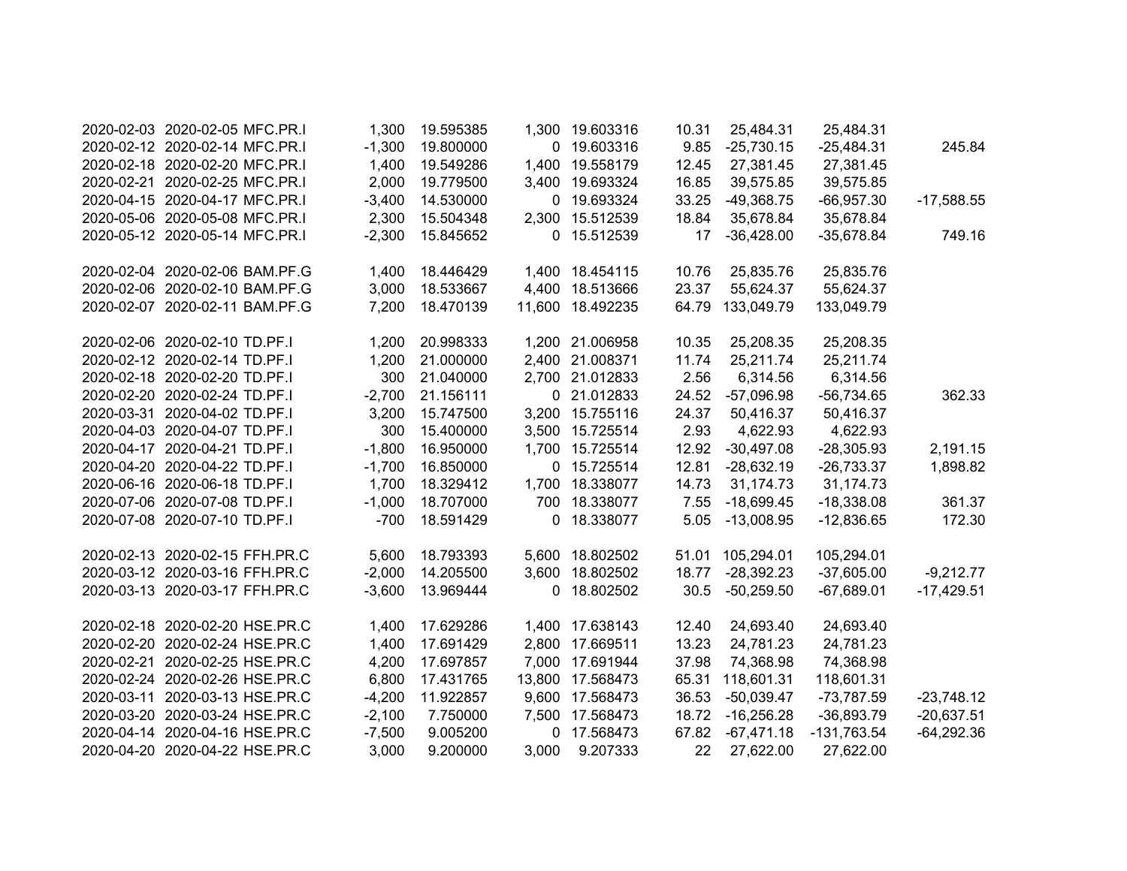| 2020-02-03 2020-02-05 MFC.PR.I | 1,300    | 19.595385 |              | 1,300 19.603316  | 10.31 | 25,484.31    | 25,484.31     |              |
|--------------------------------|----------|-----------|--------------|------------------|-------|--------------|---------------|--------------|
| 2020-02-12 2020-02-14 MFC.PR.I | $-1,300$ | 19.800000 |              | 0 19.603316      | 9.85  | $-25,730.15$ | $-25,484.31$  | 245.84       |
| 2020-02-18 2020-02-20 MFC.PR.I | 1,400    | 19.549286 |              | 1,400 19.558179  | 12.45 | 27,381.45    | 27,381.45     |              |
| 2020-02-21 2020-02-25 MFC.PR.I | 2,000    | 19.779500 |              | 3,400 19.693324  | 16.85 | 39,575.85    | 39,575.85     |              |
| 2020-04-15 2020-04-17 MFC.PR.I | $-3,400$ | 14.530000 |              | 0 19.693324      | 33.25 | $-49,368.75$ | $-66,957.30$  | $-17,588.55$ |
| 2020-05-06 2020-05-08 MFC.PR.I | 2,300    | 15.504348 |              | 2,300 15.512539  | 18.84 | 35,678.84    | 35,678.84     |              |
| 2020-05-12 2020-05-14 MFC.PR.I | $-2,300$ | 15.845652 |              | 0 15.512539      | 17    | $-36,428.00$ | $-35,678.84$  | 749.16       |
| 2020-02-04 2020-02-06 BAM.PF.G | 1,400    | 18.446429 |              | 1,400 18.454115  | 10.76 | 25,835.76    | 25,835.76     |              |
| 2020-02-06 2020-02-10 BAM.PF.G | 3,000    | 18.533667 |              | 4,400 18.513666  | 23.37 | 55,624.37    | 55,624.37     |              |
| 2020-02-07 2020-02-11 BAM.PF.G | 7,200    | 18.470139 |              | 11,600 18.492235 | 64.79 | 133,049.79   | 133,049.79    |              |
| 2020-02-06 2020-02-10 TD.PF.I  | 1,200    | 20.998333 |              | 1,200 21.006958  | 10.35 | 25,208.35    | 25,208.35     |              |
| 2020-02-12 2020-02-14 TD.PF.I  | 1,200    | 21.000000 |              | 2,400 21.008371  | 11.74 | 25,211.74    | 25,211.74     |              |
| 2020-02-18 2020-02-20 TD.PF.I  | 300      | 21.040000 |              | 2,700 21.012833  | 2.56  | 6,314.56     | 6,314.56      |              |
| 2020-02-20 2020-02-24 TD.PF.I  | $-2,700$ | 21.156111 |              | 0 21.012833      | 24.52 | $-57,096.98$ | $-56,734.65$  | 362.33       |
| 2020-03-31 2020-04-02 TD.PF.I  | 3,200    | 15.747500 |              | 3,200 15.755116  | 24.37 | 50,416.37    | 50,416.37     |              |
| 2020-04-03 2020-04-07 TD.PF.I  | 300      | 15.400000 |              | 3,500 15.725514  | 2.93  | 4,622.93     | 4,622.93      |              |
| 2020-04-17 2020-04-21 TD.PF.I  | $-1,800$ | 16.950000 |              | 1,700 15.725514  | 12.92 | $-30,497.08$ | $-28,305.93$  | 2,191.15     |
| 2020-04-20 2020-04-22 TD.PF.I  | $-1,700$ | 16.850000 |              | 0 15.725514      | 12.81 | $-28,632.19$ | $-26,733.37$  | 1,898.82     |
| 2020-06-16 2020-06-18 TD.PF.I  | 1,700    | 18.329412 |              | 1,700 18.338077  | 14.73 | 31,174.73    | 31,174.73     |              |
| 2020-07-06 2020-07-08 TD.PF.I  | $-1,000$ | 18.707000 | 700          | 18.338077        | 7.55  | $-18,699.45$ | $-18,338.08$  | 361.37       |
| 2020-07-08 2020-07-10 TD.PF.I  | $-700$   | 18.591429 | $\mathbf{0}$ | 18.338077        | 5.05  | $-13,008.95$ | $-12,836.65$  | 172.30       |
| 2020-02-13 2020-02-15 FFH.PR.C | 5,600    | 18.793393 |              | 5,600 18.802502  | 51.01 | 105,294.01   | 105,294.01    |              |
| 2020-03-12 2020-03-16 FFH.PR.C | $-2,000$ | 14.205500 | 3,600        | 18.802502        | 18.77 | $-28,392.23$ | $-37,605.00$  | $-9,212.77$  |
| 2020-03-13 2020-03-17 FFH.PR.C | $-3,600$ | 13.969444 |              | 0 18.802502      | 30.5  | $-50,259.50$ | $-67,689.01$  | $-17,429.51$ |
| 2020-02-18 2020-02-20 HSE.PR.C | 1,400    | 17.629286 |              | 1,400 17.638143  | 12.40 | 24,693.40    | 24,693.40     |              |
| 2020-02-20 2020-02-24 HSE.PR.C | 1,400    | 17.691429 |              | 2,800 17.669511  | 13.23 | 24,781.23    | 24,781.23     |              |
| 2020-02-21 2020-02-25 HSE.PR.C | 4,200    | 17.697857 |              | 7,000 17.691944  | 37.98 | 74,368.98    | 74,368.98     |              |
| 2020-02-24 2020-02-26 HSE.PR.C | 6,800    | 17.431765 |              | 13,800 17.568473 | 65.31 | 118,601.31   | 118,601.31    |              |
| 2020-03-11 2020-03-13 HSE.PR.C | $-4,200$ | 11.922857 |              | 9,600 17.568473  | 36.53 | $-50,039.47$ | $-73,787.59$  | $-23,748.12$ |
| 2020-03-20 2020-03-24 HSE.PR.C | $-2,100$ | 7.750000  | 7,500        | 17.568473        | 18.72 | $-16,256.28$ | $-36,893.79$  | $-20,637.51$ |
| 2020-04-14 2020-04-16 HSE.PR.C | $-7,500$ | 9.005200  | $\mathbf 0$  | 17.568473        | 67.82 | $-67,471.18$ | $-131,763.54$ | $-64,292.36$ |
| 2020-04-20 2020-04-22 HSE.PR.C | 3,000    | 9.200000  | 3,000        | 9.207333         | 22    | 27,622.00    | 27,622.00     |              |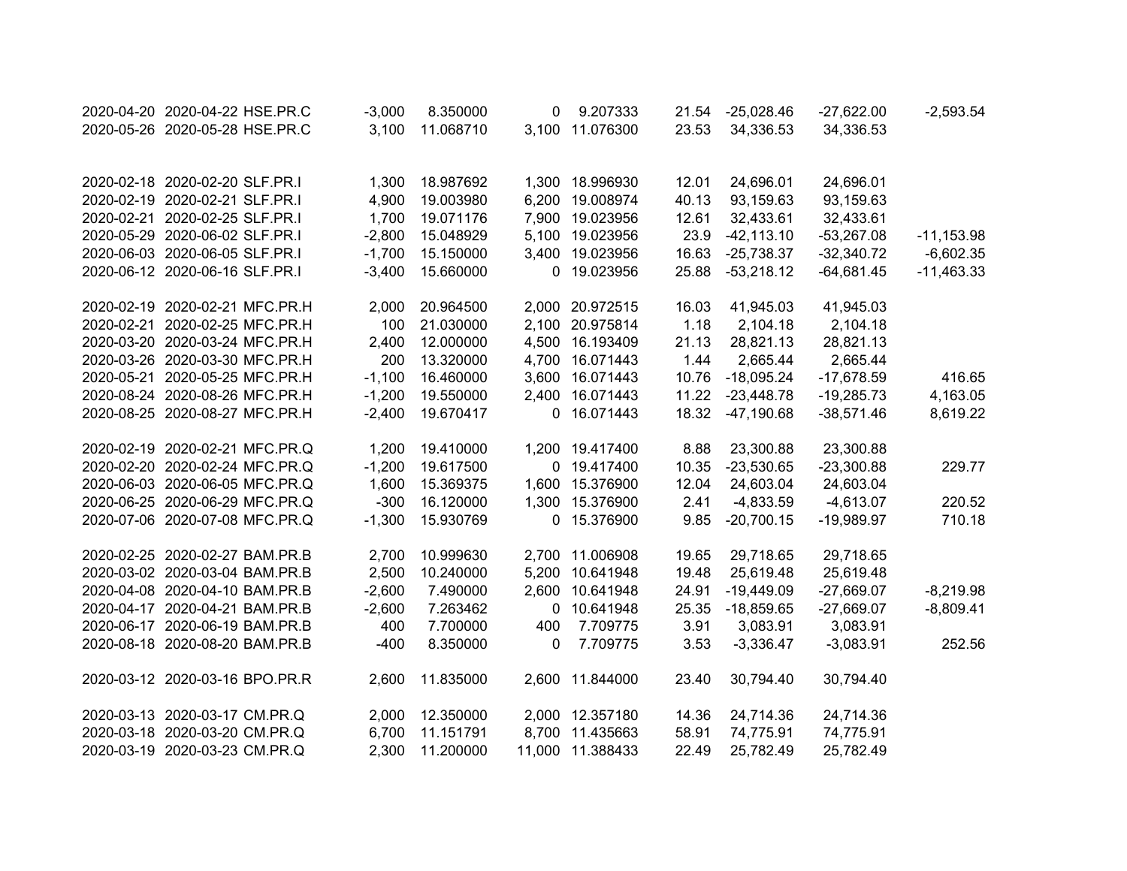| 2020-04-20 2020-04-22 HSE.PR.C | $-3,000$ | 8.350000  | 0           | 9.207333         | 21.54 | $-25,028.46$  | $-27,622.00$ | $-2,593.54$   |
|--------------------------------|----------|-----------|-------------|------------------|-------|---------------|--------------|---------------|
| 2020-05-26 2020-05-28 HSE.PR.C | 3,100    | 11.068710 |             | 3,100 11.076300  | 23.53 | 34,336.53     | 34,336.53    |               |
|                                |          |           |             |                  |       |               |              |               |
| 2020-02-18 2020-02-20 SLF.PR.I | 1,300    | 18.987692 |             | 1,300 18.996930  | 12.01 | 24,696.01     | 24,696.01    |               |
| 2020-02-19 2020-02-21 SLF.PR.I | 4,900    | 19.003980 |             | 6,200 19.008974  | 40.13 | 93,159.63     | 93,159.63    |               |
| 2020-02-21 2020-02-25 SLF.PR.I | 1,700    | 19.071176 |             | 7,900 19.023956  | 12.61 | 32,433.61     | 32,433.61    |               |
| 2020-05-29 2020-06-02 SLF.PR.I | $-2,800$ | 15.048929 |             | 5,100 19.023956  | 23.9  | $-42, 113.10$ | $-53,267.08$ | $-11, 153.98$ |
| 2020-06-03 2020-06-05 SLF.PR.I | $-1,700$ | 15.150000 |             | 3,400 19.023956  | 16.63 | $-25,738.37$  | $-32,340.72$ | $-6,602.35$   |
| 2020-06-12 2020-06-16 SLF.PR.I | $-3,400$ | 15.660000 |             | 0 19.023956      | 25.88 | $-53,218.12$  | $-64,681.45$ | $-11,463.33$  |
| 2020-02-19 2020-02-21 MFC.PR.H | 2,000    | 20.964500 |             | 2,000 20.972515  | 16.03 | 41,945.03     | 41,945.03    |               |
| 2020-02-21 2020-02-25 MFC.PR.H | 100      | 21.030000 |             | 2,100 20.975814  | 1.18  | 2,104.18      | 2,104.18     |               |
| 2020-03-20 2020-03-24 MFC.PR.H | 2,400    | 12.000000 |             | 4,500 16.193409  | 21.13 | 28,821.13     | 28,821.13    |               |
| 2020-03-26 2020-03-30 MFC.PR.H | 200      | 13.320000 |             | 4,700 16.071443  | 1.44  | 2,665.44      | 2,665.44     |               |
| 2020-05-21 2020-05-25 MFC.PR.H | $-1,100$ | 16.460000 |             | 3,600 16.071443  | 10.76 | $-18,095.24$  | $-17,678.59$ | 416.65        |
| 2020-08-24 2020-08-26 MFC.PR.H | $-1,200$ | 19.550000 |             | 2,400 16.071443  | 11.22 | $-23,448.78$  | $-19,285.73$ | 4,163.05      |
| 2020-08-25 2020-08-27 MFC.PR.H | $-2,400$ | 19.670417 |             | 0 16.071443      | 18.32 | $-47,190.68$  | $-38,571.46$ | 8,619.22      |
| 2020-02-19 2020-02-21 MFC.PR.Q | 1,200    | 19.410000 |             | 1,200 19.417400  | 8.88  | 23,300.88     | 23,300.88    |               |
| 2020-02-20 2020-02-24 MFC.PR.Q | $-1,200$ | 19.617500 |             | 0 19.417400      | 10.35 | $-23,530.65$  | $-23,300.88$ | 229.77        |
| 2020-06-03 2020-06-05 MFC.PR.Q | 1,600    | 15.369375 |             | 1,600 15.376900  | 12.04 | 24,603.04     | 24,603.04    |               |
| 2020-06-25 2020-06-29 MFC.PR.Q | $-300$   | 16.120000 |             | 1,300 15.376900  | 2.41  | $-4,833.59$   | $-4,613.07$  | 220.52        |
| 2020-07-06 2020-07-08 MFC.PR.Q | $-1,300$ | 15.930769 |             | 0 15.376900      | 9.85  | $-20,700.15$  | $-19,989.97$ | 710.18        |
| 2020-02-25 2020-02-27 BAM.PR.B | 2,700    | 10.999630 |             | 2,700 11.006908  | 19.65 | 29,718.65     | 29,718.65    |               |
| 2020-03-02 2020-03-04 BAM.PR.B | 2,500    | 10.240000 |             | 5,200 10.641948  | 19.48 | 25,619.48     | 25,619.48    |               |
| 2020-04-08 2020-04-10 BAM.PR.B | $-2,600$ | 7.490000  |             | 2,600 10.641948  | 24.91 | $-19,449.09$  | $-27,669.07$ | $-8,219.98$   |
| 2020-04-17 2020-04-21 BAM.PR.B | $-2,600$ | 7.263462  |             | 0 10.641948      | 25.35 | $-18,859.65$  | $-27,669.07$ | $-8,809.41$   |
| 2020-06-17 2020-06-19 BAM.PR.B | 400      | 7.700000  | 400         | 7.709775         | 3.91  | 3,083.91      | 3,083.91     |               |
| 2020-08-18 2020-08-20 BAM.PR.B | $-400$   | 8.350000  | $\mathbf 0$ | 7.709775         | 3.53  | $-3,336.47$   | $-3,083.91$  | 252.56        |
| 2020-03-12 2020-03-16 BPO.PR.R | 2,600    | 11.835000 |             | 2,600 11.844000  | 23.40 | 30,794.40     | 30,794.40    |               |
| 2020-03-13 2020-03-17 CM.PR.Q  | 2,000    | 12.350000 |             | 2,000 12.357180  | 14.36 | 24,714.36     | 24,714.36    |               |
| 2020-03-18 2020-03-20 CM.PR.Q  | 6,700    | 11.151791 |             | 8,700 11.435663  | 58.91 | 74,775.91     | 74,775.91    |               |
| 2020-03-19 2020-03-23 CM.PR.Q  | 2,300    | 11.200000 |             | 11,000 11.388433 | 22.49 | 25,782.49     | 25,782.49    |               |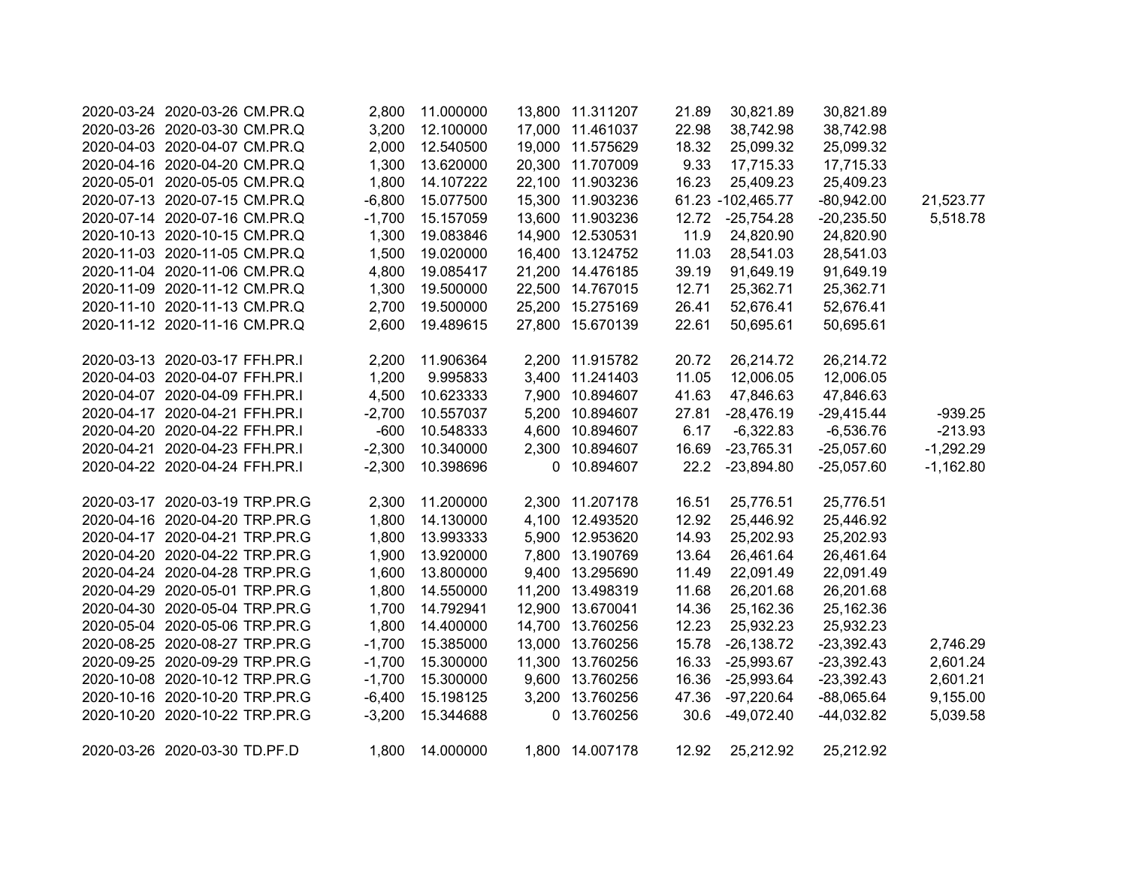| 2020-03-24 2020-03-26 CM.PR.Q  | 2,800    | 11.000000 |              | 13,800 11.311207 | 21.89 | 30,821.89         | 30,821.89    |             |
|--------------------------------|----------|-----------|--------------|------------------|-------|-------------------|--------------|-------------|
| 2020-03-26 2020-03-30 CM.PR.Q  | 3,200    | 12.100000 |              | 17,000 11.461037 | 22.98 | 38,742.98         | 38,742.98    |             |
| 2020-04-03 2020-04-07 CM.PR.Q  | 2,000    | 12.540500 |              | 19,000 11.575629 | 18.32 | 25,099.32         | 25,099.32    |             |
| 2020-04-16 2020-04-20 CM.PR.Q  | 1,300    | 13.620000 |              | 20,300 11.707009 | 9.33  | 17,715.33         | 17,715.33    |             |
| 2020-05-01 2020-05-05 CM.PR.Q  | 1,800    | 14.107222 |              | 22,100 11.903236 | 16.23 | 25,409.23         | 25,409.23    |             |
| 2020-07-13 2020-07-15 CM.PR.Q  | $-6,800$ | 15.077500 |              | 15,300 11.903236 |       | 61.23 -102,465.77 | $-80,942.00$ | 21,523.77   |
| 2020-07-14 2020-07-16 CM.PR.Q  | $-1,700$ | 15.157059 |              | 13,600 11.903236 | 12.72 | $-25,754.28$      | $-20,235.50$ | 5,518.78    |
| 2020-10-13 2020-10-15 CM.PR.Q  | 1,300    | 19.083846 |              | 14,900 12.530531 | 11.9  | 24,820.90         | 24,820.90    |             |
| 2020-11-03 2020-11-05 CM.PR.Q  | 1,500    | 19.020000 |              | 16,400 13.124752 | 11.03 | 28,541.03         | 28,541.03    |             |
| 2020-11-04 2020-11-06 CM.PR.Q  | 4,800    | 19.085417 |              | 21,200 14.476185 | 39.19 | 91,649.19         | 91,649.19    |             |
| 2020-11-09 2020-11-12 CM.PR.Q  | 1,300    | 19.500000 |              | 22,500 14.767015 | 12.71 | 25,362.71         | 25,362.71    |             |
| 2020-11-10 2020-11-13 CM.PR.Q  | 2,700    | 19.500000 |              | 25,200 15.275169 | 26.41 | 52,676.41         | 52,676.41    |             |
| 2020-11-12 2020-11-16 CM.PR.Q  | 2,600    | 19.489615 |              | 27,800 15.670139 | 22.61 | 50,695.61         | 50,695.61    |             |
| 2020-03-13 2020-03-17 FFH.PR.I | 2,200    | 11.906364 |              | 2,200 11.915782  | 20.72 | 26,214.72         | 26,214.72    |             |
| 2020-04-03 2020-04-07 FFH.PR.I | 1,200    | 9.995833  |              | 3,400 11.241403  | 11.05 | 12,006.05         | 12,006.05    |             |
| 2020-04-07 2020-04-09 FFH.PR.I | 4,500    | 10.623333 |              | 7,900 10.894607  | 41.63 | 47,846.63         | 47,846.63    |             |
| 2020-04-17 2020-04-21 FFH.PR.I | $-2,700$ | 10.557037 |              | 5,200 10.894607  | 27.81 | $-28,476.19$      | $-29,415.44$ | $-939.25$   |
| 2020-04-20 2020-04-22 FFH.PR.I | $-600$   | 10.548333 |              | 4,600 10.894607  | 6.17  | $-6,322.83$       | $-6,536.76$  | $-213.93$   |
| 2020-04-21 2020-04-23 FFH.PR.I | $-2,300$ | 10.340000 |              | 2,300 10.894607  | 16.69 | $-23,765.31$      | $-25,057.60$ | $-1,292.29$ |
| 2020-04-22 2020-04-24 FFH.PR.I | $-2,300$ | 10.398696 |              | 0 10.894607      | 22.2  | $-23,894.80$      | $-25,057.60$ | $-1,162.80$ |
| 2020-03-17 2020-03-19 TRP.PR.G | 2,300    | 11.200000 |              | 2,300 11.207178  | 16.51 | 25,776.51         | 25,776.51    |             |
| 2020-04-16 2020-04-20 TRP.PR.G | 1,800    | 14.130000 |              | 4,100 12.493520  | 12.92 | 25,446.92         | 25,446.92    |             |
| 2020-04-17 2020-04-21 TRP.PR.G | 1,800    | 13.993333 |              | 5,900 12.953620  | 14.93 | 25,202.93         | 25,202.93    |             |
| 2020-04-20 2020-04-22 TRP.PR.G | 1,900    | 13.920000 |              | 7,800 13.190769  | 13.64 | 26,461.64         | 26,461.64    |             |
| 2020-04-24 2020-04-28 TRP.PR.G | 1,600    | 13.800000 |              | 9,400 13.295690  | 11.49 | 22,091.49         | 22,091.49    |             |
| 2020-04-29 2020-05-01 TRP.PR.G | 1,800    | 14.550000 |              | 11,200 13.498319 | 11.68 | 26,201.68         | 26,201.68    |             |
| 2020-04-30 2020-05-04 TRP.PR.G | 1,700    | 14.792941 |              | 12,900 13.670041 | 14.36 | 25,162.36         | 25,162.36    |             |
| 2020-05-04 2020-05-06 TRP.PR.G | 1,800    | 14.400000 |              | 14,700 13.760256 | 12.23 | 25,932.23         | 25,932.23    |             |
| 2020-08-25 2020-08-27 TRP.PR.G | $-1,700$ | 15.385000 |              | 13,000 13.760256 | 15.78 | $-26,138.72$      | $-23,392.43$ | 2,746.29    |
| 2020-09-25 2020-09-29 TRP.PR.G | $-1,700$ | 15.300000 |              | 11,300 13.760256 | 16.33 | $-25,993.67$      | $-23,392.43$ | 2,601.24    |
| 2020-10-08 2020-10-12 TRP.PR.G | $-1,700$ | 15.300000 |              | 9,600 13.760256  | 16.36 | $-25,993.64$      | $-23,392.43$ | 2,601.21    |
| 2020-10-16 2020-10-20 TRP.PR.G | $-6,400$ | 15.198125 |              | 3,200 13.760256  | 47.36 | $-97,220.64$      | $-88,065.64$ | 9,155.00    |
| 2020-10-20 2020-10-22 TRP.PR.G | $-3,200$ | 15.344688 | $\mathbf{0}$ | 13.760256        | 30.6  | $-49,072.40$      | $-44,032.82$ | 5,039.58    |
| 2020-03-26 2020-03-30 TD.PF.D  | 1,800    | 14.000000 |              | 1,800 14.007178  | 12.92 | 25,212.92         | 25,212.92    |             |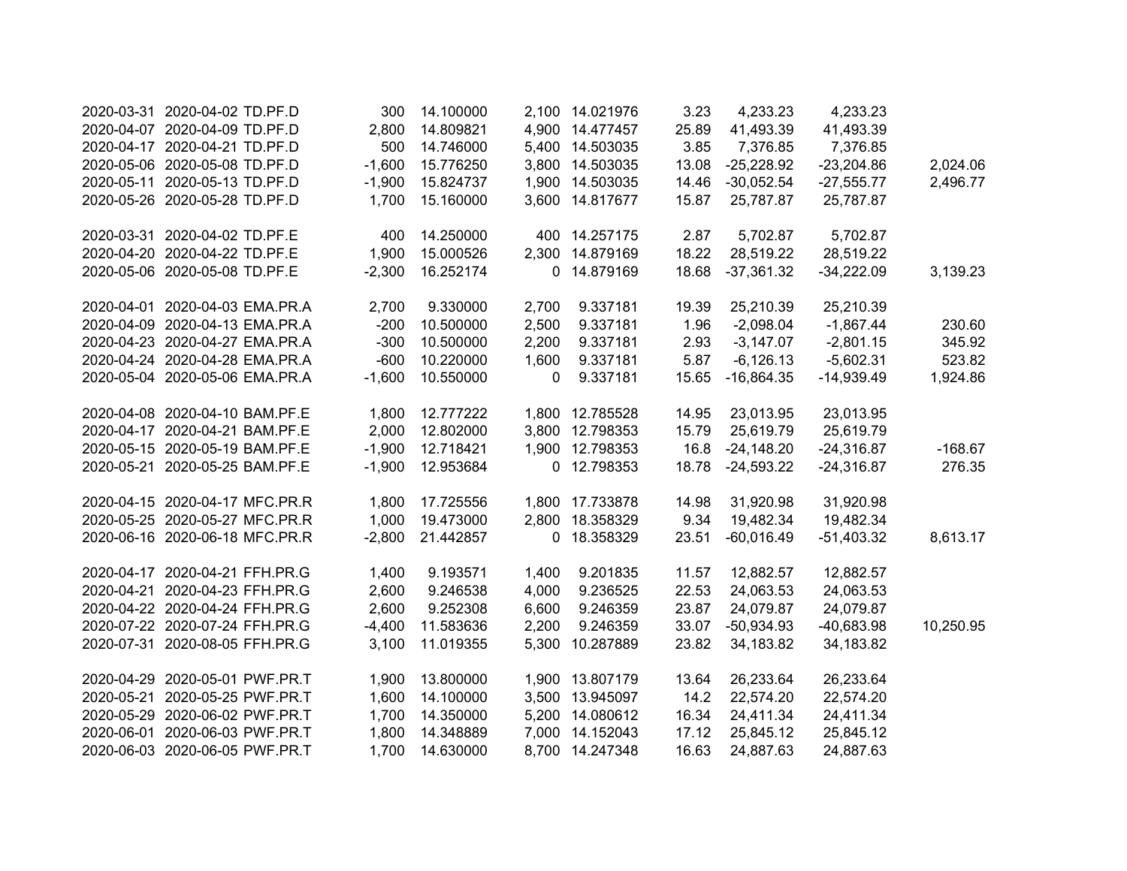| 2020-03-31 2020-04-02 TD.PF.D  | 300      | 14.100000 |             | 2,100 14.021976 | 3.23  | 4,233.23     | 4,233.23     |           |
|--------------------------------|----------|-----------|-------------|-----------------|-------|--------------|--------------|-----------|
| 2020-04-07 2020-04-09 TD.PF.D  | 2,800    | 14.809821 |             | 4,900 14.477457 | 25.89 | 41,493.39    | 41,493.39    |           |
| 2020-04-17 2020-04-21 TD.PF.D  | 500      | 14.746000 |             | 5,400 14.503035 | 3.85  | 7,376.85     | 7,376.85     |           |
| 2020-05-06 2020-05-08 TD.PF.D  | $-1,600$ | 15.776250 |             | 3,800 14.503035 | 13.08 | $-25,228.92$ | $-23,204.86$ | 2,024.06  |
| 2020-05-11 2020-05-13 TD.PF.D  | $-1,900$ | 15.824737 |             | 1,900 14.503035 | 14.46 | $-30,052.54$ | $-27,555.77$ | 2,496.77  |
| 2020-05-26 2020-05-28 TD.PF.D  | 1,700    | 15.160000 |             | 3,600 14.817677 | 15.87 | 25,787.87    | 25,787.87    |           |
| 2020-03-31 2020-04-02 TD.PF.E  | 400      | 14.250000 |             | 400 14.257175   | 2.87  | 5,702.87     | 5,702.87     |           |
| 2020-04-20 2020-04-22 TD.PF.E  | 1,900    | 15.000526 |             | 2,300 14.879169 | 18.22 | 28,519.22    | 28,519.22    |           |
| 2020-05-06 2020-05-08 TD.PF.E  | $-2,300$ | 16.252174 |             | 0 14.879169     | 18.68 | $-37,361.32$ | $-34,222.09$ | 3,139.23  |
| 2020-04-01 2020-04-03 EMA.PR.A | 2,700    | 9.330000  | 2,700       | 9.337181        | 19.39 | 25,210.39    | 25,210.39    |           |
| 2020-04-09 2020-04-13 EMA.PR.A | $-200$   | 10.500000 | 2,500       | 9.337181        | 1.96  | $-2,098.04$  | $-1,867.44$  | 230.60    |
| 2020-04-23 2020-04-27 EMA.PR.A | $-300$   | 10.500000 | 2,200       | 9.337181        | 2.93  | $-3,147.07$  | $-2,801.15$  | 345.92    |
| 2020-04-24 2020-04-28 EMA.PR.A | $-600$   | 10.220000 | 1,600       | 9.337181        | 5.87  | $-6,126.13$  | $-5,602.31$  | 523.82    |
| 2020-05-04 2020-05-06 EMA.PR.A | $-1,600$ | 10.550000 | $\mathbf 0$ | 9.337181        | 15.65 | $-16,864.35$ | $-14,939.49$ | 1,924.86  |
| 2020-04-08 2020-04-10 BAM.PF.E | 1,800    | 12.777222 |             | 1,800 12.785528 | 14.95 | 23,013.95    | 23,013.95    |           |
| 2020-04-17 2020-04-21 BAM.PF.E | 2,000    | 12.802000 |             | 3,800 12.798353 | 15.79 | 25,619.79    | 25,619.79    |           |
| 2020-05-15 2020-05-19 BAM.PF.E | $-1,900$ | 12.718421 |             | 1,900 12.798353 | 16.8  | $-24,148.20$ | $-24,316.87$ | $-168.67$ |
| 2020-05-21 2020-05-25 BAM.PF.E | $-1,900$ | 12.953684 |             | 0 12.798353     | 18.78 | $-24,593.22$ | $-24,316.87$ | 276.35    |
| 2020-04-15 2020-04-17 MFC.PR.R | 1,800    | 17.725556 |             | 1,800 17.733878 | 14.98 | 31,920.98    | 31,920.98    |           |
| 2020-05-25 2020-05-27 MFC.PR.R | 1,000    | 19.473000 |             | 2,800 18.358329 | 9.34  | 19,482.34    | 19,482.34    |           |
| 2020-06-16 2020-06-18 MFC.PR.R | $-2,800$ | 21.442857 |             | 0 18.358329     | 23.51 | $-60,016.49$ | $-51,403.32$ | 8,613.17  |
| 2020-04-17 2020-04-21 FFH.PR.G | 1,400    | 9.193571  | 1,400       | 9.201835        | 11.57 | 12,882.57    | 12,882.57    |           |
| 2020-04-21 2020-04-23 FFH.PR.G | 2,600    | 9.246538  | 4,000       | 9.236525        | 22.53 | 24,063.53    | 24,063.53    |           |
| 2020-04-22 2020-04-24 FFH.PR.G | 2,600    | 9.252308  | 6,600       | 9.246359        | 23.87 | 24,079.87    | 24,079.87    |           |
| 2020-07-22 2020-07-24 FFH.PR.G | $-4,400$ | 11.583636 | 2,200       | 9.246359        | 33.07 | $-50,934.93$ | $-40,683.98$ | 10,250.95 |
| 2020-07-31 2020-08-05 FFH.PR.G | 3,100    | 11.019355 | 5,300       | 10.287889       | 23.82 | 34,183.82    | 34,183.82    |           |
| 2020-04-29 2020-05-01 PWF.PR.T | 1,900    | 13.800000 |             | 1,900 13.807179 | 13.64 | 26,233.64    | 26,233.64    |           |
| 2020-05-21 2020-05-25 PWF.PR.T | 1,600    | 14.100000 |             | 3,500 13.945097 | 14.2  | 22,574.20    | 22,574.20    |           |
| 2020-05-29 2020-06-02 PWF.PR.T | 1,700    | 14.350000 |             | 5,200 14.080612 | 16.34 | 24,411.34    | 24,411.34    |           |
| 2020-06-01 2020-06-03 PWF.PR.T | 1,800    | 14.348889 |             | 7,000 14.152043 | 17.12 | 25,845.12    | 25,845.12    |           |
| 2020-06-03 2020-06-05 PWF.PR.T | 1.700    | 14.630000 |             | 8,700 14.247348 | 16.63 | 24,887.63    | 24,887.63    |           |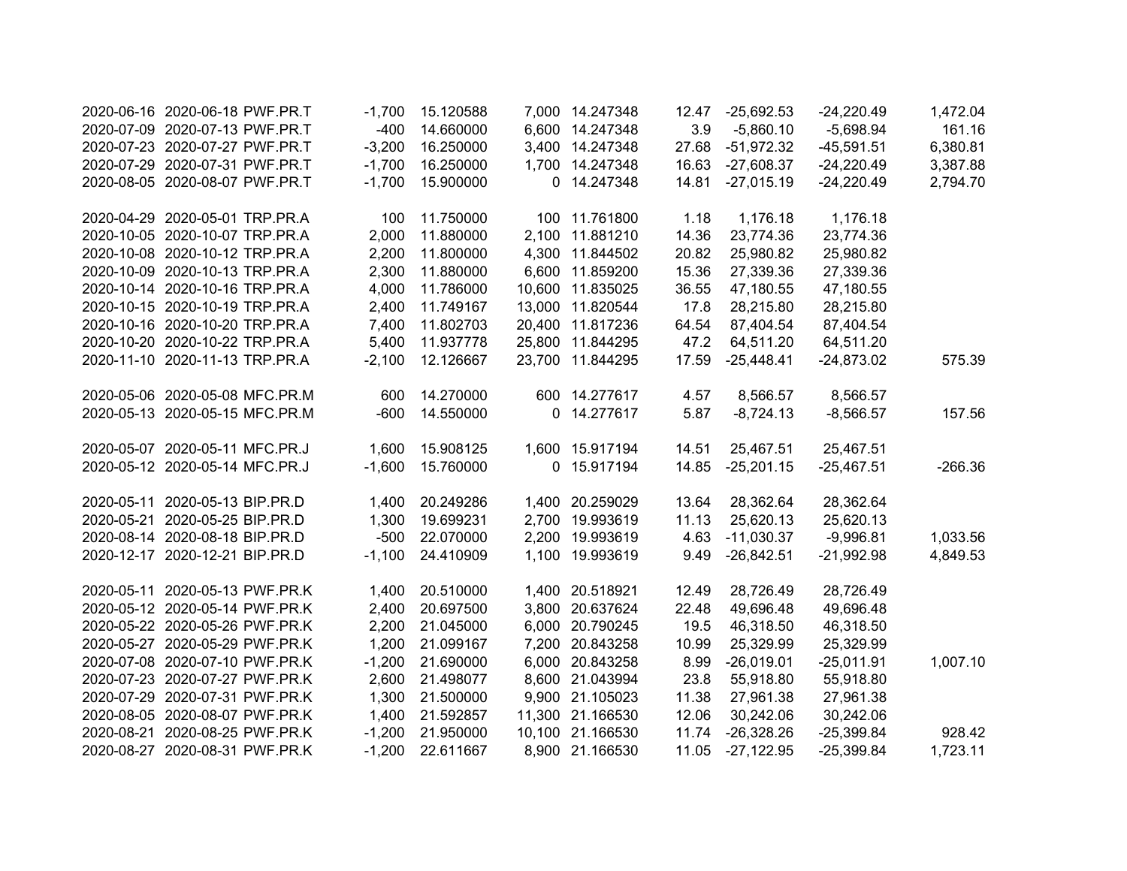|            | 2020-06-16 2020-06-18 PWF.PR.T | $-1,700$ | 15.120588 |       | 7,000 14.247348  | 12.47 | $-25,692.53$ | $-24,220.49$ | 1,472.04  |
|------------|--------------------------------|----------|-----------|-------|------------------|-------|--------------|--------------|-----------|
|            | 2020-07-09 2020-07-13 PWF.PR.T | $-400$   | 14.660000 |       | 6,600 14.247348  | 3.9   | $-5,860.10$  | $-5,698.94$  | 161.16    |
|            | 2020-07-23 2020-07-27 PWF.PR.T | $-3,200$ | 16.250000 |       | 3,400 14.247348  | 27.68 | $-51,972.32$ | $-45,591.51$ | 6,380.81  |
|            | 2020-07-29 2020-07-31 PWF.PR.T | $-1,700$ | 16.250000 |       | 1,700 14.247348  | 16.63 | $-27,608.37$ | $-24,220.49$ | 3,387.88  |
|            | 2020-08-05 2020-08-07 PWF.PR.T | $-1,700$ | 15.900000 |       | 0 14.247348      | 14.81 | $-27,015.19$ | $-24,220.49$ | 2,794.70  |
|            | 2020-04-29 2020-05-01 TRP.PR.A | 100      | 11.750000 |       | 100 11.761800    | 1.18  | 1,176.18     | 1,176.18     |           |
|            | 2020-10-05 2020-10-07 TRP.PR.A | 2,000    | 11.880000 |       | 2,100 11.881210  | 14.36 | 23,774.36    | 23,774.36    |           |
|            | 2020-10-08 2020-10-12 TRP.PR.A | 2,200    | 11.800000 |       | 4,300 11.844502  | 20.82 | 25,980.82    | 25,980.82    |           |
|            | 2020-10-09 2020-10-13 TRP.PR.A | 2,300    | 11.880000 |       | 6,600 11.859200  | 15.36 | 27,339.36    | 27,339.36    |           |
|            | 2020-10-14 2020-10-16 TRP.PR.A | 4,000    | 11.786000 |       | 10,600 11.835025 | 36.55 | 47,180.55    | 47,180.55    |           |
|            | 2020-10-15 2020-10-19 TRP.PR.A | 2,400    | 11.749167 |       | 13,000 11.820544 | 17.8  | 28,215.80    | 28,215.80    |           |
|            | 2020-10-16 2020-10-20 TRP.PR.A | 7,400    | 11.802703 |       | 20,400 11.817236 | 64.54 | 87,404.54    | 87,404.54    |           |
|            | 2020-10-20 2020-10-22 TRP.PR.A | 5,400    | 11.937778 |       | 25,800 11.844295 | 47.2  | 64,511.20    | 64,511.20    |           |
|            | 2020-11-10 2020-11-13 TRP.PR.A | $-2,100$ | 12.126667 |       | 23,700 11.844295 | 17.59 | $-25,448.41$ | $-24,873.02$ | 575.39    |
|            | 2020-05-06 2020-05-08 MFC.PR.M | 600      | 14.270000 |       | 600 14.277617    | 4.57  | 8,566.57     | 8,566.57     |           |
|            | 2020-05-13 2020-05-15 MFC.PR.M | $-600$   | 14.550000 |       | 0 14.277617      | 5.87  | $-8,724.13$  | $-8,566.57$  | 157.56    |
|            | 2020-05-07 2020-05-11 MFC.PR.J | 1,600    | 15.908125 |       | 1,600 15.917194  | 14.51 | 25,467.51    | 25,467.51    |           |
|            | 2020-05-12 2020-05-14 MFC.PR.J | $-1,600$ | 15.760000 |       | 0 15.917194      | 14.85 | $-25,201.15$ | $-25,467.51$ | $-266.36$ |
| 2020-05-11 | 2020-05-13 BIP.PR.D            | 1,400    | 20.249286 |       | 1,400 20.259029  | 13.64 | 28,362.64    | 28,362.64    |           |
| 2020-05-21 | 2020-05-25 BIP.PR.D            | 1,300    | 19.699231 |       | 2,700 19.993619  | 11.13 | 25,620.13    | 25,620.13    |           |
|            | 2020-08-14 2020-08-18 BIP.PR.D | $-500$   | 22.070000 |       | 2,200 19.993619  | 4.63  | $-11,030.37$ | $-9,996.81$  | 1,033.56  |
|            | 2020-12-17 2020-12-21 BIP.PR.D | $-1,100$ | 24.410909 | 1,100 | 19.993619        | 9.49  | $-26,842.51$ | $-21,992.98$ | 4,849.53  |
|            | 2020-05-11 2020-05-13 PWF.PR.K | 1,400    | 20.510000 |       | 1,400 20.518921  | 12.49 | 28,726.49    | 28,726.49    |           |
|            | 2020-05-12 2020-05-14 PWF.PR.K | 2,400    | 20.697500 |       | 3,800 20.637624  | 22.48 | 49,696.48    | 49,696.48    |           |
|            | 2020-05-22 2020-05-26 PWF.PR.K | 2,200    | 21.045000 |       | 6,000 20.790245  | 19.5  | 46,318.50    | 46,318.50    |           |
|            | 2020-05-27 2020-05-29 PWF.PR.K | 1,200    | 21.099167 |       | 7,200 20.843258  | 10.99 | 25,329.99    | 25,329.99    |           |
|            | 2020-07-08 2020-07-10 PWF.PR.K | $-1,200$ | 21.690000 |       | 6,000 20.843258  | 8.99  | $-26,019.01$ | $-25,011.91$ | 1,007.10  |
|            | 2020-07-23 2020-07-27 PWF.PR.K | 2,600    | 21.498077 |       | 8,600 21.043994  | 23.8  | 55,918.80    | 55,918.80    |           |
|            | 2020-07-29 2020-07-31 PWF.PR.K | 1,300    | 21.500000 |       | 9,900 21.105023  | 11.38 | 27,961.38    | 27,961.38    |           |
|            | 2020-08-05 2020-08-07 PWF.PR.K | 1,400    | 21.592857 |       | 11,300 21.166530 | 12.06 | 30,242.06    | 30,242.06    |           |
|            | 2020-08-21 2020-08-25 PWF.PR.K | $-1,200$ | 21.950000 |       | 10,100 21.166530 | 11.74 | $-26,328.26$ | $-25,399.84$ | 928.42    |
|            | 2020-08-27 2020-08-31 PWF.PR.K | $-1,200$ | 22.611667 |       | 8,900 21.166530  | 11.05 | $-27,122.95$ | $-25,399.84$ | 1,723.11  |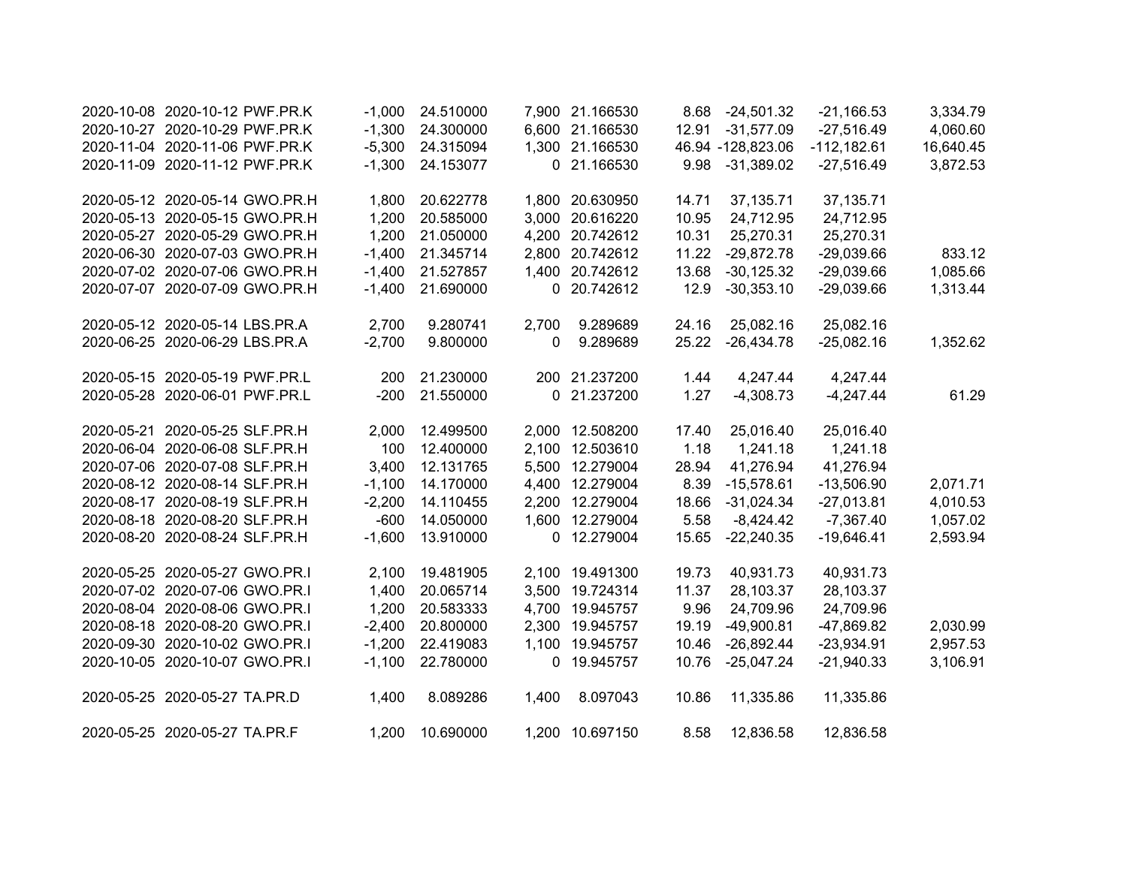| 2020-10-08 2020-10-12 PWF.PR.K | $-1,000$ | 24.510000 |       | 7,900 21.166530 | 8.68  | $-24,501.32$       | $-21,166.53$  | 3,334.79  |
|--------------------------------|----------|-----------|-------|-----------------|-------|--------------------|---------------|-----------|
| 2020-10-27 2020-10-29 PWF.PR.K | $-1,300$ | 24.300000 |       | 6,600 21.166530 | 12.91 | $-31,577.09$       | $-27,516.49$  | 4,060.60  |
| 2020-11-04 2020-11-06 PWF.PR.K | $-5,300$ | 24.315094 |       | 1,300 21.166530 |       | 46.94 - 128,823.06 | $-112,182.61$ | 16,640.45 |
| 2020-11-09 2020-11-12 PWF.PR.K | $-1,300$ | 24.153077 |       | 0 21.166530     | 9.98  | $-31,389.02$       | $-27,516.49$  | 3,872.53  |
| 2020-05-12 2020-05-14 GWO.PR.H | 1,800    | 20.622778 |       | 1,800 20.630950 | 14.71 | 37,135.71          | 37, 135. 71   |           |
| 2020-05-13 2020-05-15 GWO.PR.H | 1,200    | 20.585000 |       | 3,000 20.616220 | 10.95 | 24,712.95          | 24,712.95     |           |
| 2020-05-27 2020-05-29 GWO.PR.H | 1,200    | 21.050000 |       | 4,200 20.742612 | 10.31 | 25,270.31          | 25,270.31     |           |
| 2020-06-30 2020-07-03 GWO.PR.H | $-1,400$ | 21.345714 |       | 2,800 20.742612 | 11.22 | $-29,872.78$       | $-29,039.66$  | 833.12    |
| 2020-07-02 2020-07-06 GWO.PR.H | $-1,400$ | 21.527857 | 1,400 | 20.742612       | 13.68 | $-30,125.32$       | $-29,039.66$  | 1,085.66  |
| 2020-07-07 2020-07-09 GWO.PR.H | $-1,400$ | 21.690000 |       | 0 20.742612     | 12.9  | $-30,353.10$       | $-29,039.66$  | 1,313.44  |
| 2020-05-12 2020-05-14 LBS.PR.A | 2,700    | 9.280741  | 2,700 | 9.289689        | 24.16 | 25,082.16          | 25,082.16     |           |
| 2020-06-25 2020-06-29 LBS.PR.A | $-2,700$ | 9.800000  | 0     | 9.289689        | 25.22 | $-26,434.78$       | $-25,082.16$  | 1,352.62  |
| 2020-05-15 2020-05-19 PWF.PR.L | 200      | 21.230000 |       | 200 21.237200   | 1.44  | 4,247.44           | 4,247.44      |           |
| 2020-05-28 2020-06-01 PWF.PR.L | $-200$   | 21.550000 |       | 0 21.237200     | 1.27  | $-4,308.73$        | $-4,247.44$   | 61.29     |
| 2020-05-21 2020-05-25 SLF.PR.H | 2,000    | 12.499500 |       | 2,000 12.508200 | 17.40 | 25,016.40          | 25,016.40     |           |
| 2020-06-04 2020-06-08 SLF.PR.H | 100      | 12.400000 |       | 2,100 12.503610 | 1.18  | 1,241.18           | 1,241.18      |           |
| 2020-07-06 2020-07-08 SLF.PR.H | 3,400    | 12.131765 |       | 5,500 12.279004 | 28.94 | 41,276.94          | 41,276.94     |           |
| 2020-08-12 2020-08-14 SLF.PR.H | $-1,100$ | 14.170000 |       | 4,400 12.279004 | 8.39  | $-15,578.61$       | $-13,506.90$  | 2,071.71  |
| 2020-08-17 2020-08-19 SLF.PR.H | $-2,200$ | 14.110455 |       | 2,200 12.279004 | 18.66 | $-31,024.34$       | $-27,013.81$  | 4,010.53  |
| 2020-08-18 2020-08-20 SLF.PR.H | $-600$   | 14.050000 |       | 1,600 12.279004 | 5.58  | $-8,424.42$        | $-7,367.40$   | 1,057.02  |
| 2020-08-20 2020-08-24 SLF.PR.H | $-1,600$ | 13.910000 |       | 0 12.279004     | 15.65 | $-22,240.35$       | $-19,646.41$  | 2,593.94  |
| 2020-05-25 2020-05-27 GWO.PR.I | 2,100    | 19.481905 |       | 2,100 19.491300 | 19.73 | 40,931.73          | 40,931.73     |           |
| 2020-07-02 2020-07-06 GWO.PR.I | 1,400    | 20.065714 |       | 3,500 19.724314 | 11.37 | 28,103.37          | 28,103.37     |           |
| 2020-08-04 2020-08-06 GWO.PR.I | 1,200    | 20.583333 |       | 4,700 19.945757 | 9.96  | 24,709.96          | 24,709.96     |           |
| 2020-08-18 2020-08-20 GWO.PR.I | $-2,400$ | 20.800000 |       | 2,300 19.945757 | 19.19 | $-49,900.81$       | -47,869.82    | 2,030.99  |
| 2020-09-30 2020-10-02 GWO.PR.I | $-1,200$ | 22.419083 |       | 1,100 19.945757 | 10.46 | $-26,892.44$       | $-23,934.91$  | 2,957.53  |
| 2020-10-05 2020-10-07 GWO.PR.I | $-1,100$ | 22.780000 |       | 0 19.945757     | 10.76 | $-25,047.24$       | $-21,940.33$  | 3,106.91  |
| 2020-05-25 2020-05-27 TA.PR.D  | 1,400    | 8.089286  | 1,400 | 8.097043        | 10.86 | 11,335.86          | 11,335.86     |           |
| 2020-05-25 2020-05-27 TA.PR.F  | 1,200    | 10.690000 |       | 1,200 10.697150 | 8.58  | 12,836.58          | 12,836.58     |           |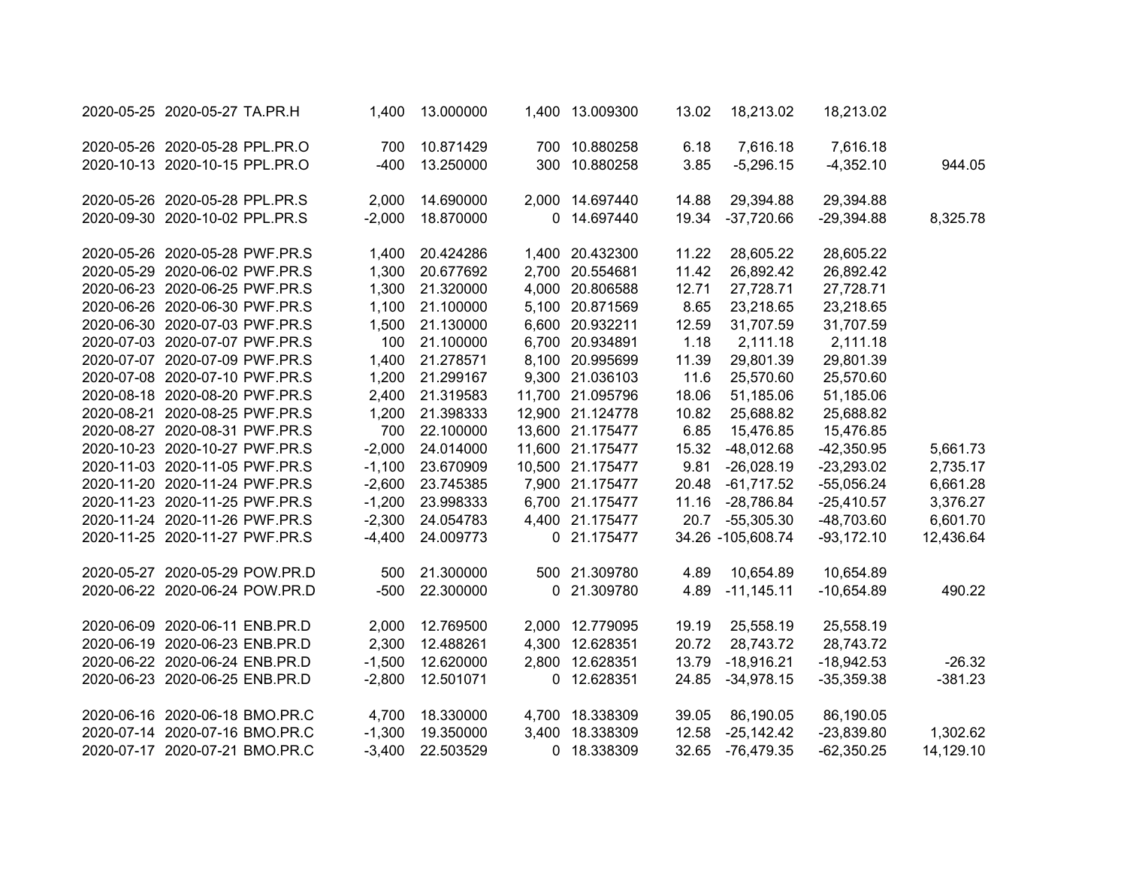| 2020-05-25 2020-05-27 TA.PR.H  | 1,400    | 13.000000 | 1,400 13.009300  | 13.02 | 18,213.02         | 18,213.02    |           |
|--------------------------------|----------|-----------|------------------|-------|-------------------|--------------|-----------|
| 2020-05-26 2020-05-28 PPL.PR.O | 700      | 10.871429 | 700 10.880258    | 6.18  | 7,616.18          | 7,616.18     |           |
| 2020-10-13 2020-10-15 PPL.PR.O | $-400$   | 13.250000 | 300 10.880258    | 3.85  | $-5,296.15$       | $-4,352.10$  | 944.05    |
| 2020-05-26 2020-05-28 PPL.PR.S | 2,000    | 14.690000 | 2,000 14.697440  | 14.88 | 29,394.88         | 29,394.88    |           |
| 2020-09-30 2020-10-02 PPL.PR.S | $-2,000$ | 18.870000 | 0 14.697440      | 19.34 | $-37,720.66$      | $-29,394.88$ | 8,325.78  |
| 2020-05-26 2020-05-28 PWF.PR.S | 1,400    | 20.424286 | 1,400 20.432300  | 11.22 | 28,605.22         | 28,605.22    |           |
| 2020-05-29 2020-06-02 PWF.PR.S | 1,300    | 20.677692 | 2,700 20.554681  | 11.42 | 26,892.42         | 26,892.42    |           |
| 2020-06-23 2020-06-25 PWF.PR.S | 1,300    | 21.320000 | 4,000 20.806588  | 12.71 | 27,728.71         | 27,728.71    |           |
| 2020-06-26 2020-06-30 PWF.PR.S | 1,100    | 21.100000 | 5,100 20.871569  | 8.65  | 23,218.65         | 23,218.65    |           |
| 2020-06-30 2020-07-03 PWF.PR.S | 1,500    | 21.130000 | 6,600 20.932211  | 12.59 | 31,707.59         | 31,707.59    |           |
| 2020-07-03 2020-07-07 PWF.PR.S | 100      | 21.100000 | 6,700 20.934891  | 1.18  | 2,111.18          | 2,111.18     |           |
| 2020-07-07 2020-07-09 PWF.PR.S | 1,400    | 21.278571 | 8,100 20.995699  | 11.39 | 29,801.39         | 29,801.39    |           |
| 2020-07-08 2020-07-10 PWF.PR.S | 1,200    | 21.299167 | 9,300 21.036103  | 11.6  | 25,570.60         | 25,570.60    |           |
| 2020-08-18 2020-08-20 PWF.PR.S | 2,400    | 21.319583 | 11,700 21.095796 | 18.06 | 51,185.06         | 51,185.06    |           |
| 2020-08-21 2020-08-25 PWF.PR.S | 1,200    | 21.398333 | 12,900 21.124778 | 10.82 | 25,688.82         | 25,688.82    |           |
| 2020-08-27 2020-08-31 PWF.PR.S | 700      | 22.100000 | 13,600 21.175477 | 6.85  | 15,476.85         | 15,476.85    |           |
| 2020-10-23 2020-10-27 PWF.PR.S | $-2,000$ | 24.014000 | 11,600 21.175477 | 15.32 | $-48,012.68$      | $-42,350.95$ | 5,661.73  |
| 2020-11-03 2020-11-05 PWF.PR.S | $-1,100$ | 23.670909 | 10,500 21.175477 | 9.81  | $-26,028.19$      | $-23,293.02$ | 2,735.17  |
| 2020-11-20 2020-11-24 PWF.PR.S | $-2,600$ | 23.745385 | 7,900 21.175477  | 20.48 | $-61,717.52$      | $-55,056.24$ | 6,661.28  |
| 2020-11-23 2020-11-25 PWF.PR.S | $-1,200$ | 23.998333 | 6,700 21.175477  | 11.16 | $-28,786.84$      | $-25,410.57$ | 3,376.27  |
| 2020-11-24 2020-11-26 PWF.PR.S | $-2,300$ | 24.054783 | 4,400 21.175477  | 20.7  | $-55,305.30$      | -48,703.60   | 6,601.70  |
| 2020-11-25 2020-11-27 PWF.PR.S | $-4,400$ | 24.009773 | 0 21.175477      |       | 34.26 -105,608.74 | $-93,172.10$ | 12,436.64 |
| 2020-05-27 2020-05-29 POW.PR.D | 500      | 21.300000 | 500 21.309780    | 4.89  | 10,654.89         | 10,654.89    |           |
| 2020-06-22 2020-06-24 POW.PR.D | $-500$   | 22.300000 | 0 21.309780      | 4.89  | $-11,145.11$      | $-10,654.89$ | 490.22    |
| 2020-06-09 2020-06-11 ENB.PR.D | 2,000    | 12.769500 | 2,000 12.779095  | 19.19 | 25,558.19         | 25,558.19    |           |
| 2020-06-19 2020-06-23 ENB.PR.D | 2,300    | 12.488261 | 4,300 12.628351  | 20.72 | 28,743.72         | 28,743.72    |           |
| 2020-06-22 2020-06-24 ENB.PR.D | $-1,500$ | 12.620000 | 2,800 12.628351  | 13.79 | $-18,916.21$      | $-18,942.53$ | $-26.32$  |
| 2020-06-23 2020-06-25 ENB.PR.D | $-2,800$ | 12.501071 | 0 12.628351      | 24.85 | $-34,978.15$      | $-35,359.38$ | $-381.23$ |
| 2020-06-16 2020-06-18 BMO.PR.C | 4,700    | 18.330000 | 4,700 18.338309  | 39.05 | 86,190.05         | 86,190.05    |           |
| 2020-07-14 2020-07-16 BMO.PR.C | $-1,300$ | 19.350000 | 3,400 18.338309  | 12.58 | $-25,142.42$      | $-23,839.80$ | 1,302.62  |
| 2020-07-17 2020-07-21 BMO.PR.C | $-3,400$ | 22.503529 | 0 18.338309      | 32.65 | -76,479.35        | $-62,350.25$ | 14,129.10 |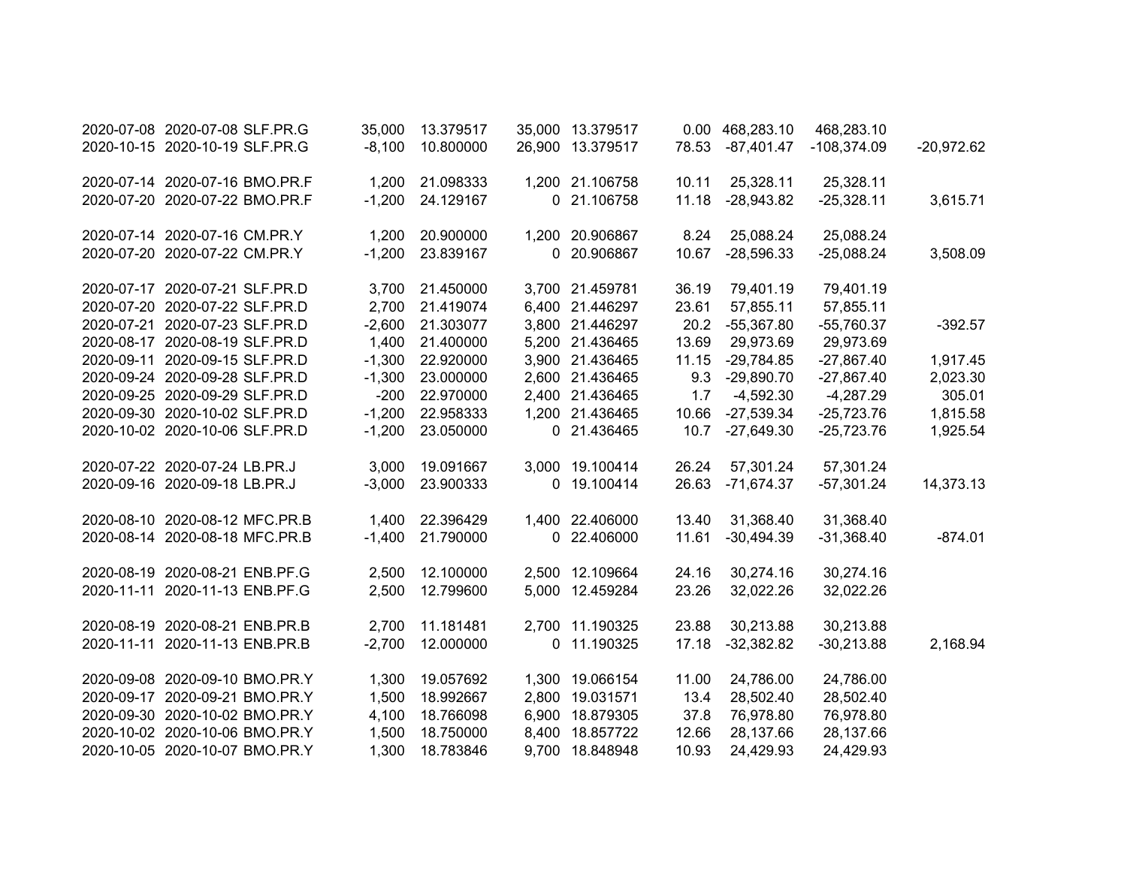| 2020-07-08 2020-07-08 SLF.PR.G | 35,000   | 13.379517 | 35,000 13.379517 |       | 0.00 468,283.10 | 468,283.10    |              |
|--------------------------------|----------|-----------|------------------|-------|-----------------|---------------|--------------|
| 2020-10-15 2020-10-19 SLF.PR.G | $-8,100$ | 10.800000 | 26,900 13.379517 | 78.53 | $-87,401.47$    | $-108,374.09$ | $-20,972.62$ |
| 2020-07-14 2020-07-16 BMO.PR.F | 1,200    | 21.098333 | 1,200 21.106758  | 10.11 | 25,328.11       | 25,328.11     |              |
| 2020-07-20 2020-07-22 BMO.PR.F | $-1,200$ | 24.129167 | 0 21.106758      | 11.18 | $-28,943.82$    | $-25,328.11$  | 3,615.71     |
| 2020-07-14 2020-07-16 CM.PR.Y  | 1,200    | 20.900000 | 1,200 20.906867  | 8.24  | 25,088.24       | 25,088.24     |              |
| 2020-07-20 2020-07-22 CM.PR.Y  | $-1,200$ | 23.839167 | 0 20.906867      | 10.67 | $-28,596.33$    | $-25,088.24$  | 3,508.09     |
| 2020-07-17 2020-07-21 SLF.PR.D | 3,700    | 21.450000 | 3,700 21.459781  | 36.19 | 79,401.19       | 79,401.19     |              |
| 2020-07-20 2020-07-22 SLF.PR.D | 2,700    | 21.419074 | 6,400 21.446297  | 23.61 | 57,855.11       | 57,855.11     |              |
| 2020-07-21 2020-07-23 SLF.PR.D | $-2,600$ | 21.303077 | 3,800 21.446297  | 20.2  | $-55,367.80$    | $-55,760.37$  | $-392.57$    |
| 2020-08-17 2020-08-19 SLF.PR.D | 1,400    | 21.400000 | 5,200 21.436465  | 13.69 | 29,973.69       | 29,973.69     |              |
| 2020-09-11 2020-09-15 SLF.PR.D | $-1,300$ | 22.920000 | 3,900 21.436465  | 11.15 | $-29,784.85$    | $-27,867.40$  | 1,917.45     |
| 2020-09-24 2020-09-28 SLF.PR.D | $-1,300$ | 23.000000 | 2,600 21.436465  | 9.3   | $-29,890.70$    | $-27,867.40$  | 2,023.30     |
| 2020-09-25 2020-09-29 SLF.PR.D | $-200$   | 22.970000 | 2,400 21.436465  | 1.7   | $-4,592.30$     | $-4,287.29$   | 305.01       |
| 2020-09-30 2020-10-02 SLF.PR.D | $-1,200$ | 22.958333 | 1,200 21.436465  | 10.66 | $-27,539.34$    | $-25,723.76$  | 1,815.58     |
| 2020-10-02 2020-10-06 SLF.PR.D | $-1,200$ | 23.050000 | 0 21.436465      | 10.7  | $-27,649.30$    | $-25,723.76$  | 1,925.54     |
| 2020-07-22 2020-07-24 LB.PR.J  | 3,000    | 19.091667 | 3,000 19.100414  | 26.24 | 57,301.24       | 57,301.24     |              |
| 2020-09-16 2020-09-18 LB.PR.J  | $-3,000$ | 23.900333 | 0 19.100414      | 26.63 | $-71,674.37$    | $-57,301.24$  | 14,373.13    |
| 2020-08-10 2020-08-12 MFC.PR.B | 1,400    | 22.396429 | 1,400 22.406000  | 13.40 | 31,368.40       | 31,368.40     |              |
| 2020-08-14 2020-08-18 MFC.PR.B | $-1,400$ | 21.790000 | 0 22.406000      | 11.61 | $-30,494.39$    | $-31,368.40$  | $-874.01$    |
| 2020-08-19 2020-08-21 ENB.PF.G | 2,500    | 12.100000 | 2,500 12.109664  | 24.16 | 30,274.16       | 30,274.16     |              |
| 2020-11-11 2020-11-13 ENB.PF.G | 2,500    | 12.799600 | 5,000 12.459284  | 23.26 | 32,022.26       | 32,022.26     |              |
| 2020-08-19 2020-08-21 ENB.PR.B | 2,700    | 11.181481 | 2,700 11.190325  | 23.88 | 30,213.88       | 30,213.88     |              |
| 2020-11-11 2020-11-13 ENB.PR.B | $-2,700$ | 12.000000 | 0 11.190325      | 17.18 | $-32,382.82$    | $-30,213.88$  | 2,168.94     |
| 2020-09-08 2020-09-10 BMO.PR.Y | 1,300    | 19.057692 | 1,300 19.066154  | 11.00 | 24,786.00       | 24,786.00     |              |
| 2020-09-17 2020-09-21 BMO.PR.Y | 1,500    | 18.992667 | 2,800 19.031571  | 13.4  | 28,502.40       | 28,502.40     |              |
| 2020-09-30 2020-10-02 BMO.PR.Y | 4,100    | 18.766098 | 6,900 18.879305  | 37.8  | 76,978.80       | 76,978.80     |              |
| 2020-10-02 2020-10-06 BMO.PR.Y | 1,500    | 18.750000 | 8,400 18.857722  | 12.66 | 28,137.66       | 28,137.66     |              |
| 2020-10-05 2020-10-07 BMO.PR.Y | 1,300    | 18.783846 | 9,700 18.848948  | 10.93 | 24,429.93       | 24,429.93     |              |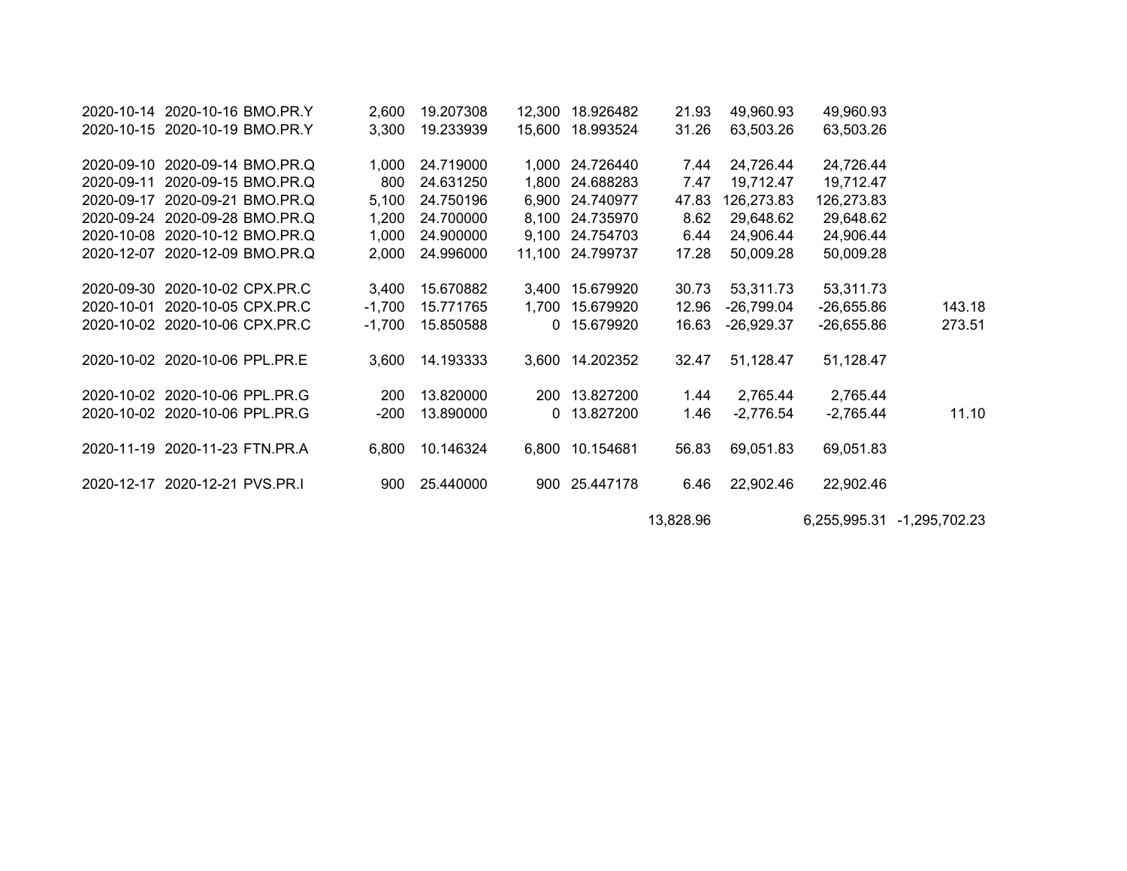| 2020-10-14 2020-10-16 BMO.PR.Y | 2,600    | 19.207308 |              | 12.300 18.926482 | 21.93     | 49,960.93    | 49,960.93    |               |
|--------------------------------|----------|-----------|--------------|------------------|-----------|--------------|--------------|---------------|
| 2020-10-15 2020-10-19 BMO.PR.Y | 3,300    | 19.233939 | 15,600       | 18.993524        | 31.26     | 63,503.26    | 63,503.26    |               |
| 2020-09-10 2020-09-14 BMO.PR.Q | 1,000    | 24.719000 |              | 1,000 24.726440  | 7.44      | 24,726.44    | 24,726.44    |               |
| 2020-09-11 2020-09-15 BMO.PR.Q | 800      | 24.631250 |              | 1,800 24.688283  | 7.47      | 19,712.47    | 19,712.47    |               |
| 2020-09-17 2020-09-21 BMO.PR.Q | 5,100    | 24.750196 |              | 6,900 24.740977  | 47.83     | 126,273.83   | 126,273.83   |               |
| 2020-09-24 2020-09-28 BMO.PR.Q | 1,200    | 24.700000 |              | 8,100 24.735970  | 8.62      | 29,648.62    | 29,648.62    |               |
| 2020-10-08 2020-10-12 BMO.PR.Q | 1,000    | 24.900000 |              | 9,100 24.754703  | 6.44      | 24,906.44    | 24,906.44    |               |
| 2020-12-07 2020-12-09 BMO.PR.Q | 2,000    | 24.996000 |              | 11,100 24.799737 | 17.28     | 50,009.28    | 50,009.28    |               |
| 2020-09-30 2020-10-02 CPX.PR.C | 3,400    | 15.670882 |              | 3,400 15.679920  | 30.73     | 53,311.73    | 53,311.73    |               |
| 2020-10-01 2020-10-05 CPX.PR.C | $-1,700$ | 15.771765 | 1,700        | 15.679920        | 12.96     | $-26,799.04$ | -26,655.86   | 143.18        |
| 2020-10-02 2020-10-06 CPX.PR.C | $-1,700$ | 15.850588 |              | 0 15.679920      | 16.63     | $-26,929.37$ | $-26,655.86$ | 273.51        |
| 2020-10-02 2020-10-06 PPL.PR.E | 3,600    | 14.193333 |              | 3,600 14.202352  | 32.47     | 51,128.47    | 51,128.47    |               |
| 2020-10-02 2020-10-06 PPL.PR.G | 200      | 13.820000 |              | 200 13.827200    | 1.44      | 2,765.44     | 2,765.44     |               |
| 2020-10-02 2020-10-06 PPL.PR.G | $-200$   | 13.890000 | $\mathbf{0}$ | 13.827200        | 1.46      | $-2,776.54$  | -2,765.44    | 11.10         |
| 2020-11-19 2020-11-23 FTN.PR.A | 6,800    | 10.146324 |              | 6,800 10.154681  | 56.83     | 69,051.83    | 69,051.83    |               |
| 2020-12-17 2020-12-21 PVS.PR.I | 900      | 25.440000 |              | 900 25.447178    | 6.46      | 22,902.46    | 22,902.46    |               |
|                                |          |           |              |                  | 13,828.96 |              | 6,255,995.31 | -1,295,702.23 |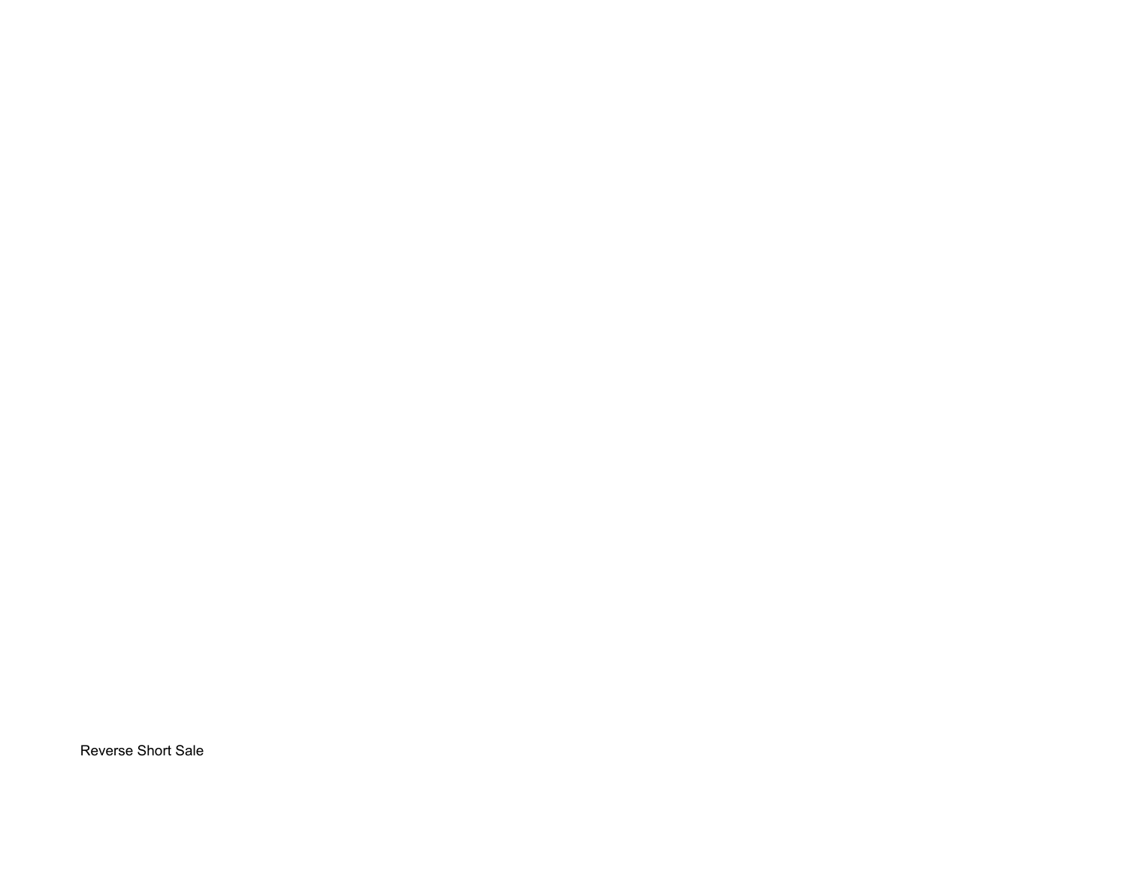Reverse Short Sale